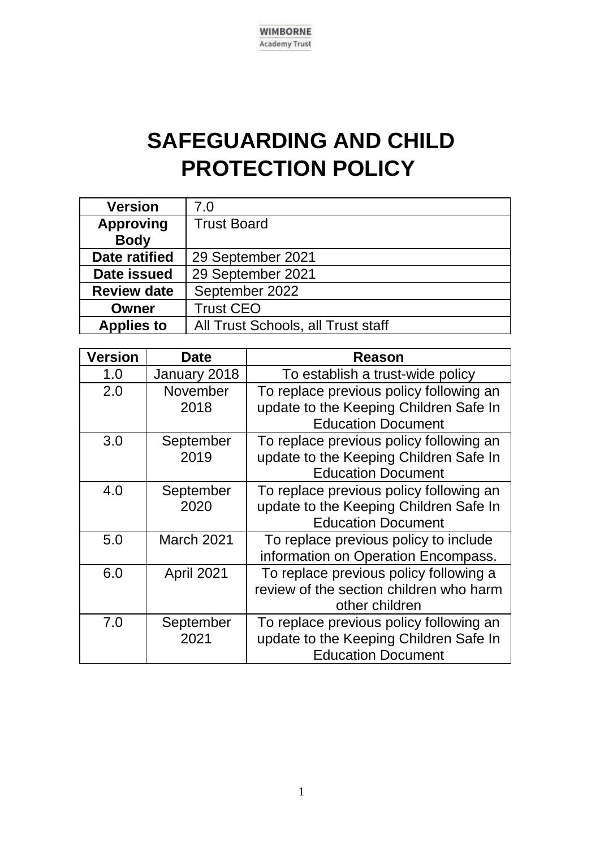# **SAFEGUARDING AND CHILD PROTECTION POLICY**

| <b>Version</b>     | 7.0                                |  |
|--------------------|------------------------------------|--|
| <b>Approving</b>   | <b>Trust Board</b>                 |  |
| <b>Body</b>        |                                    |  |
| Date ratified      | 29 September 2021                  |  |
| Date issued        | 29 September 2021                  |  |
| <b>Review date</b> | September 2022                     |  |
| Owner              | <b>Trust CEO</b>                   |  |
| <b>Applies to</b>  | All Trust Schools, all Trust staff |  |

| <b>Version</b> | Date              | <b>Reason</b>                                                                                                  |
|----------------|-------------------|----------------------------------------------------------------------------------------------------------------|
| 1.0            | January 2018      | To establish a trust-wide policy                                                                               |
| 2.0            | November<br>2018  | To replace previous policy following an<br>update to the Keeping Children Safe In<br><b>Education Document</b> |
| 3.0            | September<br>2019 | To replace previous policy following an<br>update to the Keeping Children Safe In<br><b>Education Document</b> |
| 4.0            | September<br>2020 | To replace previous policy following an<br>update to the Keeping Children Safe In<br><b>Education Document</b> |
| 5.0            | <b>March 2021</b> | To replace previous policy to include<br>information on Operation Encompass.                                   |
| 6.0            | April 2021        | To replace previous policy following a<br>review of the section children who harm<br>other children            |
| 7.0            | September<br>2021 | To replace previous policy following an<br>update to the Keeping Children Safe In<br><b>Education Document</b> |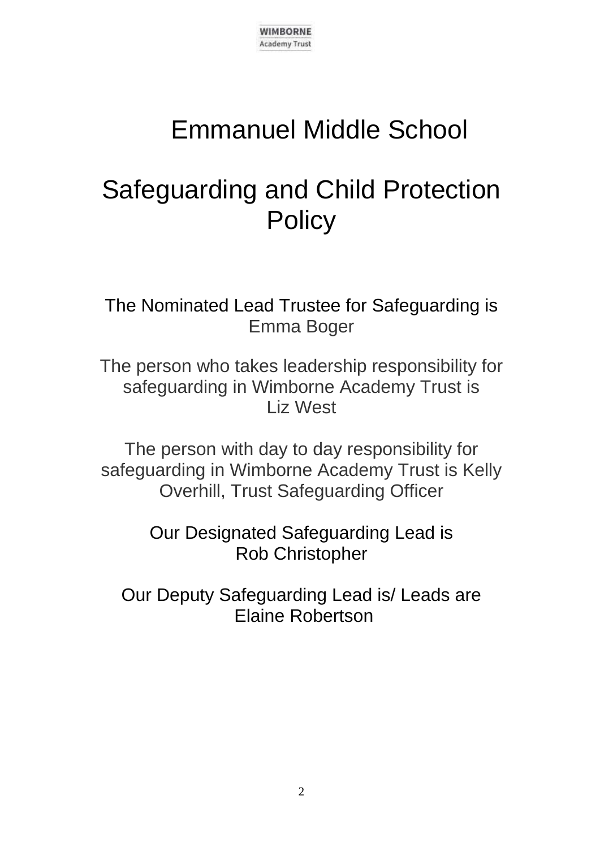

# Emmanuel Middle School

# Safeguarding and Child Protection **Policy**

The Nominated Lead Trustee for Safeguarding is Emma Boger

The person who takes leadership responsibility for safeguarding in Wimborne Academy Trust is Liz West

The person with day to day responsibility for safeguarding in Wimborne Academy Trust is Kelly Overhill, Trust Safeguarding Officer

> Our Designated Safeguarding Lead is Rob Christopher

Our Deputy Safeguarding Lead is/ Leads are Elaine Robertson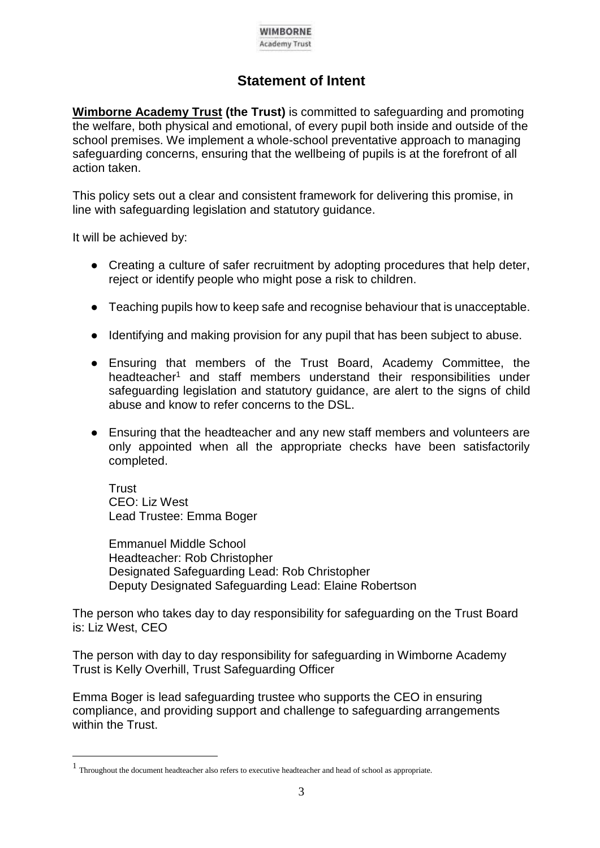

## **Statement of Intent**

**Wimborne Academy Trust (the Trust)** is committed to safeguarding and promoting the welfare, both physical and emotional, of every pupil both inside and outside of the school premises. We implement a whole-school preventative approach to managing safeguarding concerns, ensuring that the wellbeing of pupils is at the forefront of all action taken.

This policy sets out a clear and consistent framework for delivering this promise, in line with safeguarding legislation and statutory guidance.

It will be achieved by:

- Creating a culture of safer recruitment by adopting procedures that help deter, reject or identify people who might pose a risk to children.
- Teaching pupils how to keep safe and recognise behaviour that is unacceptable.
- Identifying and making provision for any pupil that has been subject to abuse.
- Ensuring that members of the Trust Board, Academy Committee, the headteacher<sup>1</sup> and staff members understand their responsibilities under safeguarding legislation and statutory guidance, are alert to the signs of child abuse and know to refer concerns to the DSL.
- Ensuring that the headteacher and any new staff members and volunteers are only appointed when all the appropriate checks have been satisfactorily completed.

**Trust** CEO: Liz West Lead Trustee: Emma Boger

1

Emmanuel Middle School Headteacher: Rob Christopher Designated Safeguarding Lead: Rob Christopher Deputy Designated Safeguarding Lead: Elaine Robertson

The person who takes day to day responsibility for safeguarding on the Trust Board is: Liz West, CEO

The person with day to day responsibility for safeguarding in Wimborne Academy Trust is Kelly Overhill, Trust Safeguarding Officer

Emma Boger is lead safeguarding trustee who supports the CEO in ensuring compliance, and providing support and challenge to safeguarding arrangements within the Trust.

<sup>1</sup> Throughout the document headteacher also refers to executive headteacher and head of school as appropriate.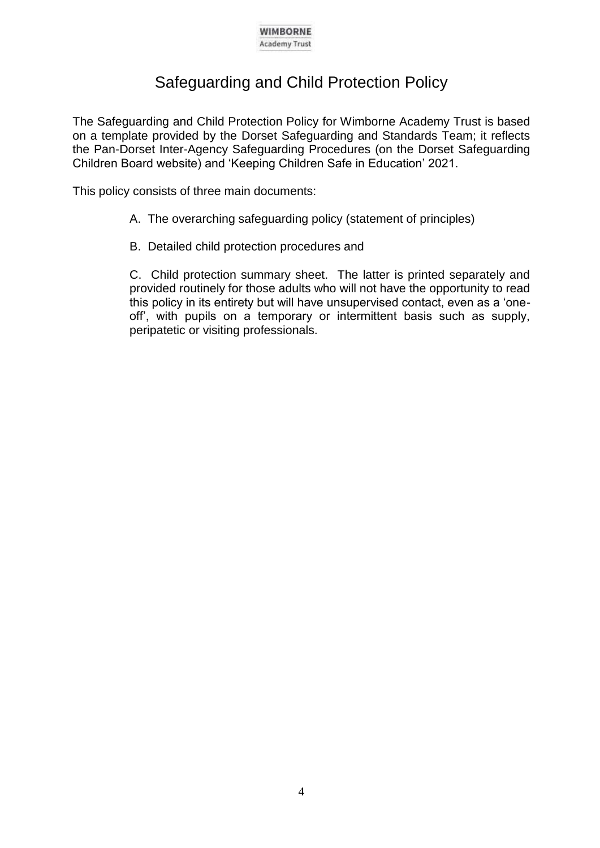

## Safeguarding and Child Protection Policy

The Safeguarding and Child Protection Policy for Wimborne Academy Trust is based on a template provided by the Dorset Safeguarding and Standards Team; it reflects the Pan-Dorset Inter-Agency Safeguarding Procedures (on the Dorset Safeguarding Children Board website) and 'Keeping Children Safe in Education' 2021.

This policy consists of three main documents:

- A. The overarching safeguarding policy (statement of principles)
- B. Detailed child protection procedures and

C. Child protection summary sheet. The latter is printed separately and provided routinely for those adults who will not have the opportunity to read this policy in its entirety but will have unsupervised contact, even as a 'oneoff', with pupils on a temporary or intermittent basis such as supply, peripatetic or visiting professionals.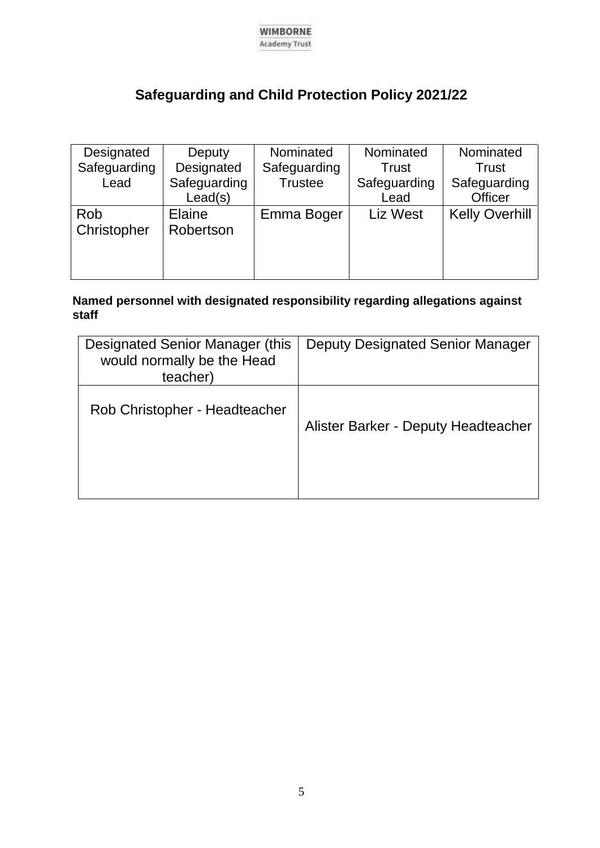

## **Safeguarding and Child Protection Policy 2021/22**

| Designated   | Deputy       | Nominated      | Nominated    | Nominated             |
|--------------|--------------|----------------|--------------|-----------------------|
| Safeguarding | Designated   | Safeguarding   | <b>Trust</b> | <b>Trust</b>          |
| Lead         | Safeguarding | <b>Trustee</b> | Safeguarding | Safeguarding          |
|              | Lead(s)      |                | Lead         | <b>Officer</b>        |
| Rob          | Elaine       | Emma Boger     | Liz West     | <b>Kelly Overhill</b> |
| Christopher  | Robertson    |                |              |                       |
|              |              |                |              |                       |
|              |              |                |              |                       |
|              |              |                |              |                       |

**Named personnel with designated responsibility regarding allegations against staff** 

| Designated Senior Manager (this<br>would normally be the Head<br>teacher) | <b>Deputy Designated Senior Manager</b> |
|---------------------------------------------------------------------------|-----------------------------------------|
| Rob Christopher - Headteacher                                             | Alister Barker - Deputy Headteacher     |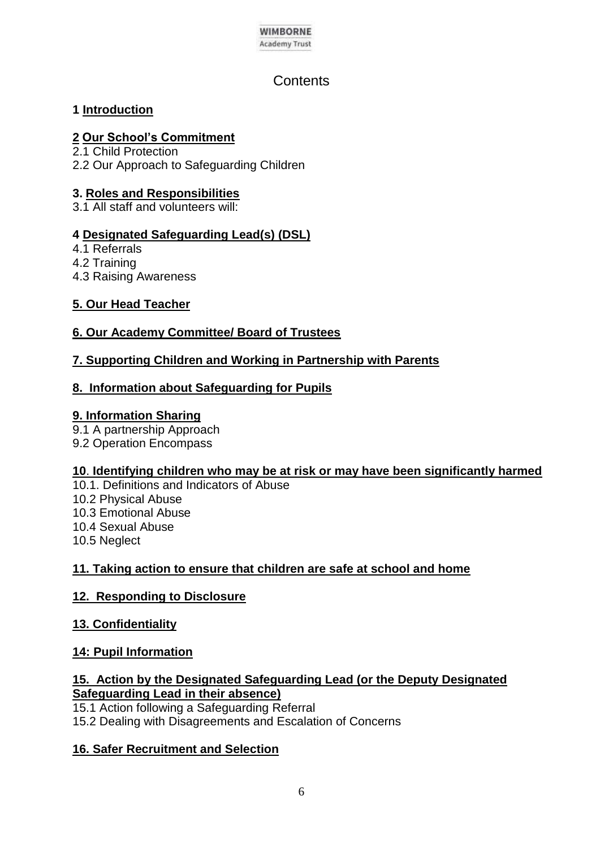

## **Contents**

## **1 Introduction**

## **2 [Our School's Commitment](#page-8-0)**

2.1 Child Protection

2.2 Our Approach to Safeguarding Children

## **3. [Roles and Responsibilities](#page-9-0)**

3.1 All staff and volunteers will:

## **4 Designated Safeguarding Lead(s) (DSL)**

4.1 Referrals

4.2 Training

4.3 Raising Awareness

## **5. Our Head Teacher**

## **6. Our Academy Committee/ Board of Trustees**

## **7. Supporting Children and Working in Partnership with Parents**

## **8. Information about Safeguarding for Pupils**

## **9. Information Sharing**

9.1 A partnership Approach 9.2 Operation Encompass

## **10**. **Identifying children who may be at risk or may have been significantly harmed**

10.1. Definitions and Indicators of Abuse

- 10.2 Physical Abuse
- 10.3 Emotional Abuse
- 10.4 Sexual Abuse
- 10.5 Neglect

## **11. Taking action to ensure that children are safe at school and home**

## **12. Responding to Disclosure**

## **13. Confidentiality**

## **14: Pupil Information**

## **15. Action by the Designated Safeguarding Lead (or the Deputy Designated Safeguarding Lead in their absence)**

15.1 Action following a Safeguarding Referral

15.2 Dealing with Disagreements and Escalation of Concerns

## **16. Safer Recruitment and Selection**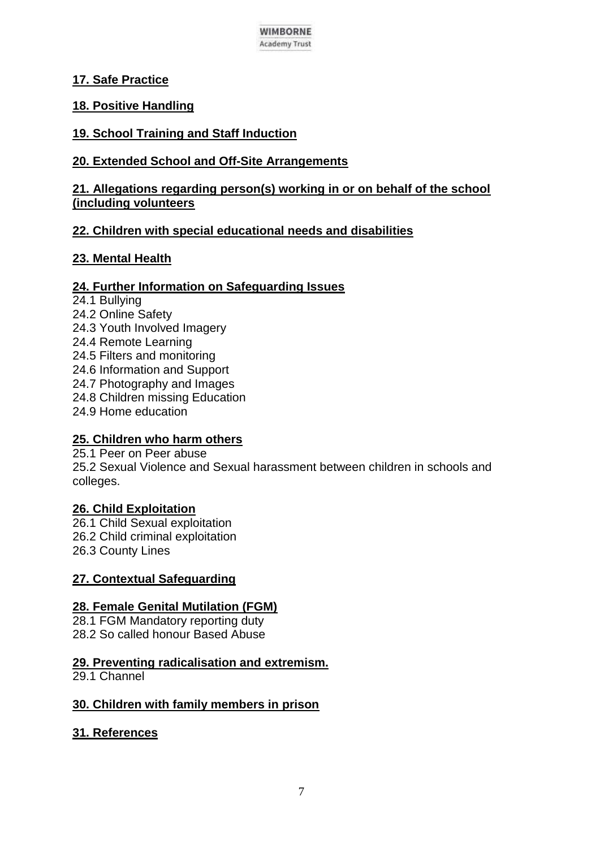

## **17. Safe Practice**

## **18. Positive Handling**

## **19. School Training and Staff Induction**

## **20. Extended School and Off-Site Arrangements**

### **21. Allegations regarding person(s) working in or on behalf of the school (including volunteers**

## **22. Children with special educational needs and disabilities**

### **23. Mental Health**

### **24. Further Information on Safeguarding Issues**

- 24.1 Bullying
- 24.2 Online Safety
- 24.3 Youth Involved Imagery
- 24.4 Remote Learning
- 24.5 Filters and monitoring
- 24.6 Information and Support
- 24.7 Photography and Images
- 24.8 Children missing Education
- 24.9 Home education

## **25. Children who harm others**

25.1 Peer on Peer abuse 25.2 Sexual Violence and Sexual harassment between children in schools and colleges.

### **26. Child Exploitation**

26.1 Child Sexual exploitation 26.2 Child criminal exploitation 26.3 County Lines

### **27. Contextual Safeguarding**

### **28. Female Genital Mutilation (FGM)**

28.1 FGM Mandatory reporting duty 28.2 So called honour Based Abuse

### **29. Preventing radicalisation and extremism.**

29.1 Channel

## **30. Children with family members in prison**

### **31. References**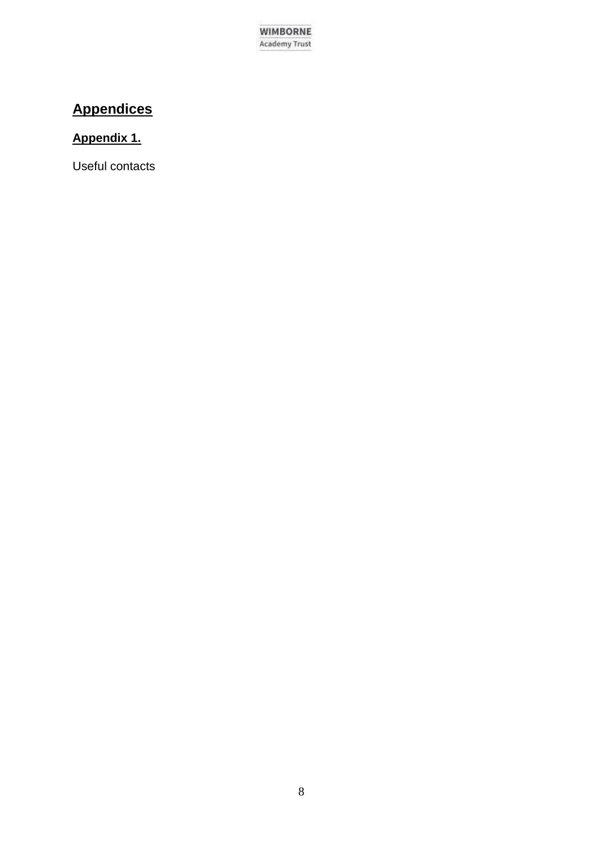**WIMBORNE Academy Trust** 

## **Appendices**

## **Appendix 1.**

Useful contacts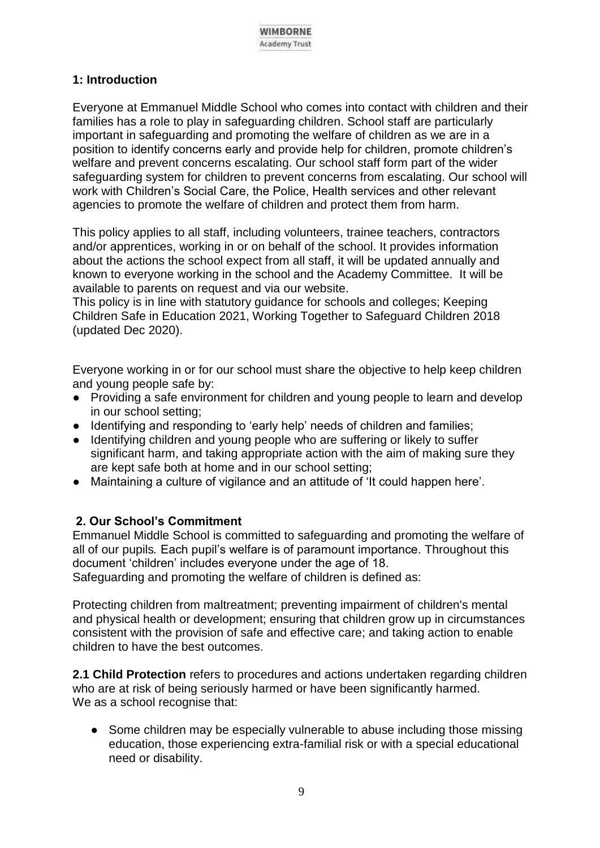## **1: Introduction**

Everyone at Emmanuel Middle School who comes into contact with children and their families has a role to play in safeguarding children. School staff are particularly important in safeguarding and promoting the welfare of children as we are in a position to identify concerns early and provide help for children, promote children's welfare and prevent concerns escalating. Our school staff form part of the wider safeguarding system for children to prevent concerns from escalating. Our school will work with Children's Social Care, the Police, Health services and other relevant agencies to promote the welfare of children and protect them from harm.

This policy applies to all staff, including volunteers, trainee teachers, contractors and/or apprentices, working in or on behalf of the school. It provides information about the actions the school expect from all staff, it will be updated annually and known to everyone working in the school and the Academy Committee. It will be available to parents on request and via our website.

This policy is in line with statutory guidance for schools and colleges; Keeping Children Safe in Education 2021, Working Together to Safeguard Children 2018 (updated Dec 2020).

Everyone working in or for our school must share the objective to help keep children and young people safe by:

- Providing a safe environment for children and young people to learn and develop in our school setting;
- Identifying and responding to 'early help' needs of children and families;
- Identifying children and young people who are suffering or likely to suffer significant harm, and taking appropriate action with the aim of making sure they are kept safe both at home and in our school setting;
- Maintaining a culture of vigilance and an attitude of 'It could happen here'.

## <span id="page-8-0"></span>**2. Our School's Commitment**

Emmanuel Middle School is committed to safeguarding and promoting the welfare of all of our pupils*.* Each pupil's welfare is of paramount importance. Throughout this document 'children' includes everyone under the age of 18.

Safeguarding and promoting the welfare of children is defined as:

Protecting children from maltreatment; preventing impairment of children's mental and physical health or development; ensuring that children grow up in circumstances consistent with the provision of safe and effective care; and taking action to enable children to have the best outcomes.

**2.1 Child Protection** refers to procedures and actions undertaken regarding children who are at risk of being seriously harmed or have been significantly harmed. We as a school recognise that:

• Some children may be especially vulnerable to abuse including those missing education, those experiencing extra-familial risk or with a special educational need or disability.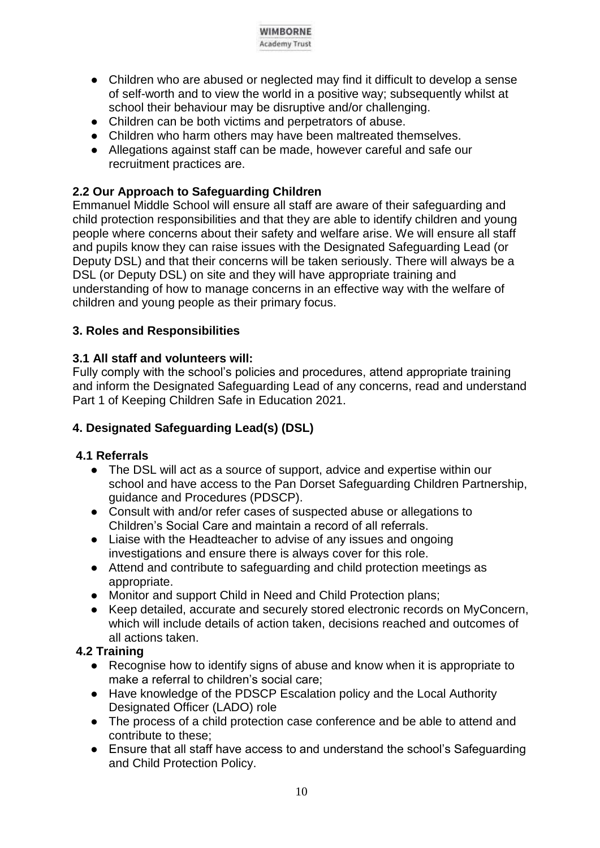- Children who are abused or neglected may find it difficult to develop a sense of self-worth and to view the world in a positive way; subsequently whilst at school their behaviour may be disruptive and/or challenging.
- Children can be both victims and perpetrators of abuse.
- Children who harm others may have been maltreated themselves.
- Allegations against staff can be made, however careful and safe our recruitment practices are.

**WIMBORNE Academy Trust** 

## **2.2 Our Approach to Safeguarding Children**

Emmanuel Middle School will ensure all staff are aware of their safeguarding and child protection responsibilities and that they are able to identify children and young people where concerns about their safety and welfare arise. We will ensure all staff and pupils know they can raise issues with the Designated Safeguarding Lead (or Deputy DSL) and that their concerns will be taken seriously. There will always be a DSL (or Deputy DSL) on site and they will have appropriate training and understanding of how to manage concerns in an effective way with the welfare of children and young people as their primary focus.

## <span id="page-9-0"></span>**3. Roles and Responsibilities**

### **3.1 All staff and volunteers will:**

Fully comply with the school's policies and procedures, attend appropriate training and inform the Designated Safeguarding Lead of any concerns, read and understand Part 1 of Keeping Children Safe in Education 2021.

## **4. Designated Safeguarding Lead(s) (DSL)**

### **4.1 Referrals**

- The DSL will act as a source of support, advice and expertise within our school and have access to the Pan Dorset Safeguarding Children Partnership, guidance and Procedures (PDSCP).
- Consult with and/or refer cases of suspected abuse or allegations to Children's Social Care and maintain a record of all referrals.
- Liaise with the Headteacher to advise of any issues and ongoing investigations and ensure there is always cover for this role.
- Attend and contribute to safeguarding and child protection meetings as appropriate.
- Monitor and support Child in Need and Child Protection plans;
- Keep detailed, accurate and securely stored electronic records on MyConcern, which will include details of action taken, decisions reached and outcomes of all actions taken.

### **4.2 Training**

- Recognise how to identify signs of abuse and know when it is appropriate to make a referral to children's social care;
- Have knowledge of the PDSCP Escalation policy and the Local Authority Designated Officer (LADO) role
- The process of a child protection case conference and be able to attend and contribute to these;
- Ensure that all staff have access to and understand the school's Safeguarding and Child Protection Policy.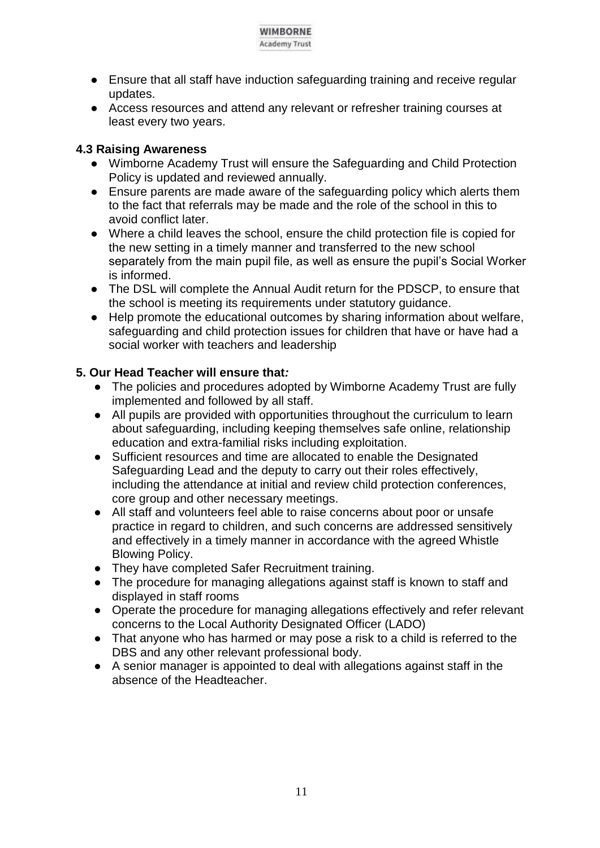- Ensure that all staff have induction safeguarding training and receive regular updates.
- Access resources and attend any relevant or refresher training courses at least every two years.

**WIMBORNE Academy Trust** 

## **4.3 Raising Awareness**

- Wimborne Academy Trust will ensure the Safeguarding and Child Protection Policy is updated and reviewed annually.
- Ensure parents are made aware of the safeguarding policy which alerts them to the fact that referrals may be made and the role of the school in this to avoid conflict later.
- Where a child leaves the school, ensure the child protection file is copied for the new setting in a timely manner and transferred to the new school separately from the main pupil file, as well as ensure the pupil's Social Worker is informed.
- The DSL will complete the Annual Audit return for the PDSCP, to ensure that the school is meeting its requirements under statutory guidance.
- Help promote the educational outcomes by sharing information about welfare, safeguarding and child protection issues for children that have or have had a social worker with teachers and leadership

## **5. Our Head Teacher will ensure that***:*

- The policies and procedures adopted by Wimborne Academy Trust are fully implemented and followed by all staff.
- All pupils are provided with opportunities throughout the curriculum to learn about safeguarding, including keeping themselves safe online, relationship education and extra-familial risks including exploitation.
- Sufficient resources and time are allocated to enable the Designated Safeguarding Lead and the deputy to carry out their roles effectively, including the attendance at initial and review child protection conferences, core group and other necessary meetings.
- All staff and volunteers feel able to raise concerns about poor or unsafe practice in regard to children, and such concerns are addressed sensitively and effectively in a timely manner in accordance with the agreed Whistle Blowing Policy.
- They have completed Safer Recruitment training.
- The procedure for managing allegations against staff is known to staff and displayed in staff rooms
- Operate the procedure for managing allegations effectively and refer relevant concerns to the Local Authority Designated Officer (LADO)
- That anyone who has harmed or may pose a risk to a child is referred to the DBS and any other relevant professional body.
- A senior manager is appointed to deal with allegations against staff in the absence of the Headteacher.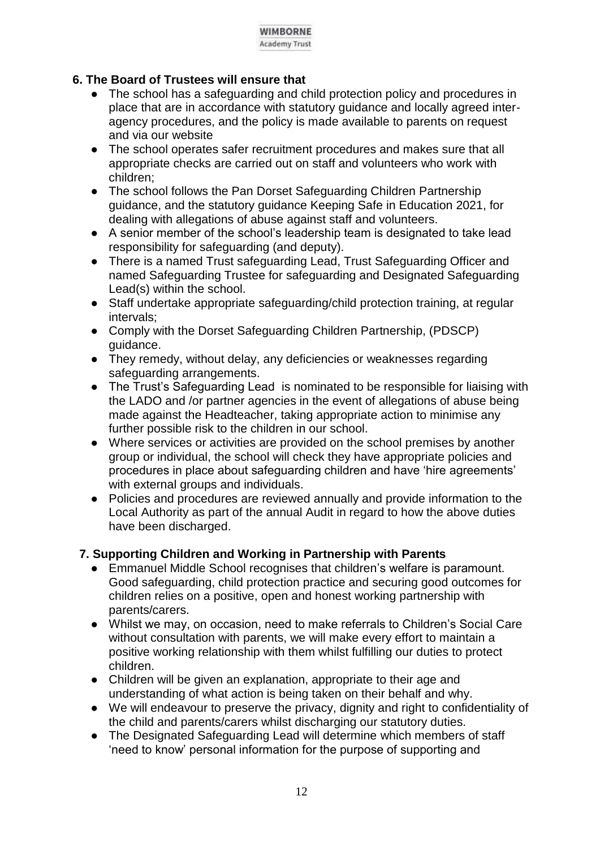

## **6. The Board of Trustees will ensure that**

- The school has a safeguarding and child protection policy and procedures in place that are in accordance with statutory guidance and locally agreed interagency procedures, and the policy is made available to parents on request and via our website
- The school operates safer recruitment procedures and makes sure that all appropriate checks are carried out on staff and volunteers who work with children;
- The school follows the Pan Dorset Safeguarding Children Partnership guidance, and the statutory guidance Keeping Safe in Education 2021, for dealing with allegations of abuse against staff and volunteers.
- A senior member of the school's leadership team is designated to take lead responsibility for safeguarding (and deputy).
- There is a named Trust safeguarding Lead, Trust Safeguarding Officer and named Safeguarding Trustee for safeguarding and Designated Safeguarding Lead(s) within the school.
- Staff undertake appropriate safeguarding/child protection training, at regular intervals;
- Comply with the Dorset Safeguarding Children Partnership, (PDSCP) guidance.
- They remedy, without delay, any deficiencies or weaknesses regarding safeguarding arrangements.
- The Trust's Safeguarding Lead is nominated to be responsible for liaising with the LADO and /or partner agencies in the event of allegations of abuse being made against the Headteacher, taking appropriate action to minimise any further possible risk to the children in our school.
- Where services or activities are provided on the school premises by another group or individual, the school will check they have appropriate policies and procedures in place about safeguarding children and have 'hire agreements' with external groups and individuals.
- Policies and procedures are reviewed annually and provide information to the Local Authority as part of the annual Audit in regard to how the above duties have been discharged.

## **7. Supporting Children and Working in Partnership with Parents**

- Emmanuel Middle School recognises that children's welfare is paramount. Good safeguarding, child protection practice and securing good outcomes for children relies on a positive, open and honest working partnership with parents/carers.
- Whilst we may, on occasion, need to make referrals to Children's Social Care without consultation with parents, we will make every effort to maintain a positive working relationship with them whilst fulfilling our duties to protect children.
- Children will be given an explanation, appropriate to their age and understanding of what action is being taken on their behalf and why.
- We will endeavour to preserve the privacy, dignity and right to confidentiality of the child and parents/carers whilst discharging our statutory duties.
- The Designated Safeguarding Lead will determine which members of staff 'need to know' personal information for the purpose of supporting and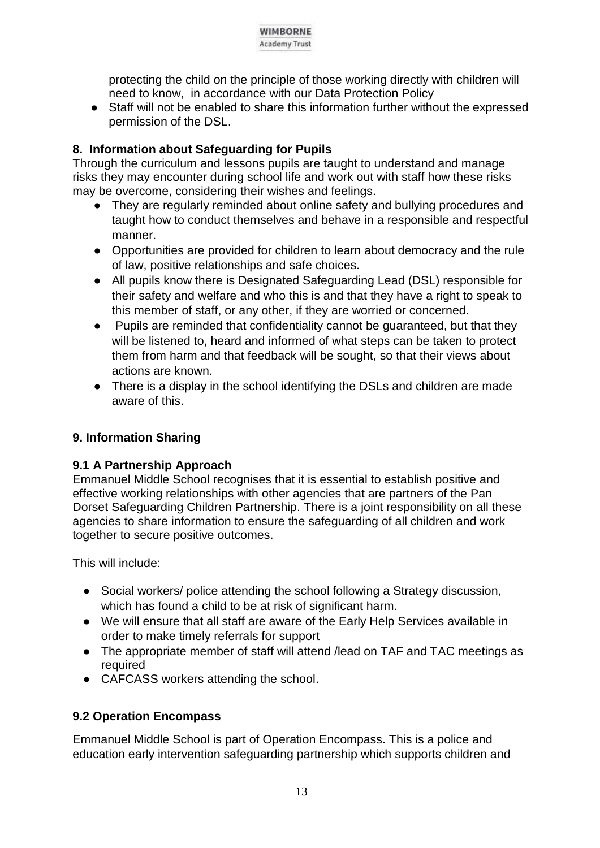

protecting the child on the principle of those working directly with children will need to know, in accordance with our Data Protection Policy

● Staff will not be enabled to share this information further without the expressed permission of the DSL.

## **8. Information about Safeguarding for Pupils**

Through the curriculum and lessons pupils are taught to understand and manage risks they may encounter during school life and work out with staff how these risks may be overcome, considering their wishes and feelings.

- They are regularly reminded about online safety and bullying procedures and taught how to conduct themselves and behave in a responsible and respectful manner.
- Opportunities are provided for children to learn about democracy and the rule of law, positive relationships and safe choices.
- All pupils know there is Designated Safeguarding Lead (DSL) responsible for their safety and welfare and who this is and that they have a right to speak to this member of staff, or any other, if they are worried or concerned.
- Pupils are reminded that confidentiality cannot be guaranteed, but that they will be listened to, heard and informed of what steps can be taken to protect them from harm and that feedback will be sought, so that their views about actions are known.
- There is a display in the school identifying the DSLs and children are made aware of this.

## **9. Information Sharing**

## **9.1 A Partnership Approach**

Emmanuel Middle School recognises that it is essential to establish positive and effective working relationships with other agencies that are partners of the Pan Dorset Safeguarding Children Partnership. There is a joint responsibility on all these agencies to share information to ensure the safeguarding of all children and work together to secure positive outcomes.

This will include:

- Social workers/ police attending the school following a Strategy discussion, which has found a child to be at risk of significant harm.
- We will ensure that all staff are aware of the Early Help Services available in order to make timely referrals for support
- The appropriate member of staff will attend /lead on TAF and TAC meetings as required
- CAFCASS workers attending the school.

## **9.2 Operation Encompass**

Emmanuel Middle School is part of Operation Encompass. This is a police and education early intervention safeguarding partnership which supports children and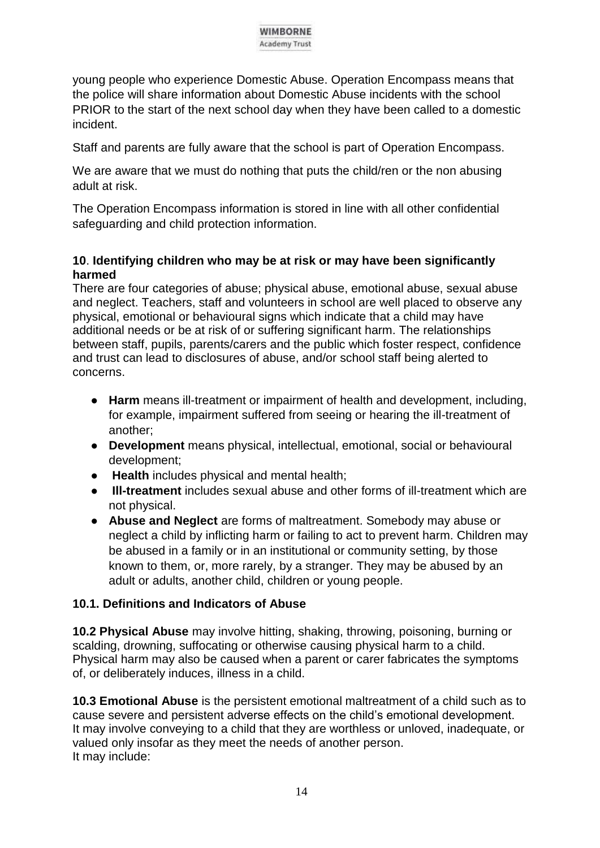young people who experience Domestic Abuse. Operation Encompass means that the police will share information about Domestic Abuse incidents with the school PRIOR to the start of the next school day when they have been called to a domestic incident.

Staff and parents are fully aware that the school is part of Operation Encompass.

We are aware that we must do nothing that puts the child/ren or the non abusing adult at risk.

The Operation Encompass information is stored in line with all other confidential safeguarding and child protection information.

## **10**. **Identifying children who may be at risk or may have been significantly harmed**

There are four categories of abuse; physical abuse, emotional abuse, sexual abuse and neglect. Teachers, staff and volunteers in school are well placed to observe any physical, emotional or behavioural signs which indicate that a child may have additional needs or be at risk of or suffering significant harm. The relationships between staff, pupils, parents/carers and the public which foster respect, confidence and trust can lead to disclosures of abuse, and/or school staff being alerted to concerns.

- **Harm** means ill-treatment or impairment of health and development, including, for example, impairment suffered from seeing or hearing the ill-treatment of another;
- **Development** means physical, intellectual, emotional, social or behavioural development;
- **Health** includes physical and mental health;
- **Ill-treatment** includes sexual abuse and other forms of ill-treatment which are not physical.
- **Abuse and Neglect** are forms of maltreatment. Somebody may abuse or neglect a child by inflicting harm or failing to act to prevent harm. Children may be abused in a family or in an institutional or community setting, by those known to them, or, more rarely, by a stranger. They may be abused by an adult or adults, another child, children or young people.

## **10.1. Definitions and Indicators of Abuse**

**10.2 Physical Abuse** may involve hitting, shaking, throwing, poisoning, burning or scalding, drowning, suffocating or otherwise causing physical harm to a child. Physical harm may also be caused when a parent or carer fabricates the symptoms of, or deliberately induces, illness in a child.

**10.3 Emotional Abuse** is the persistent emotional maltreatment of a child such as to cause severe and persistent adverse effects on the child's emotional development. It may involve conveying to a child that they are worthless or unloved, inadequate, or valued only insofar as they meet the needs of another person. It may include: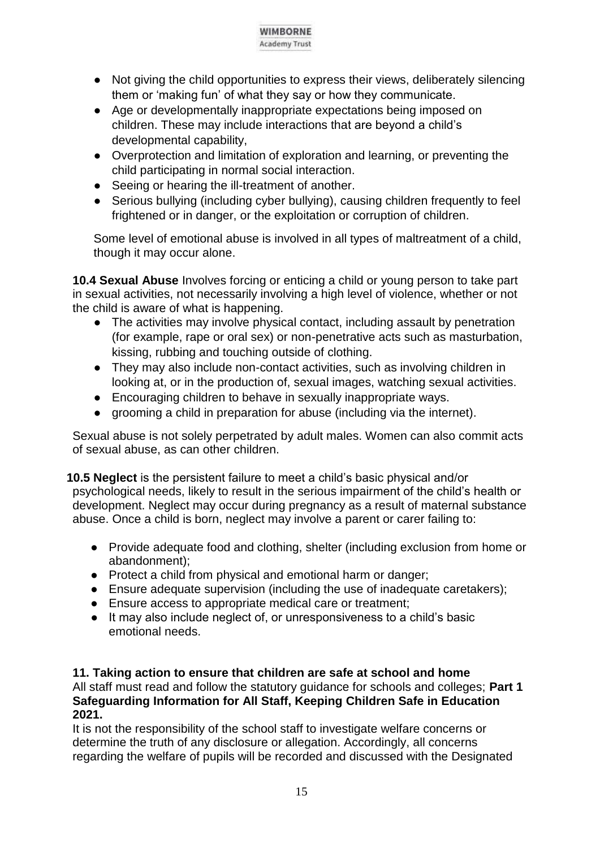- Not giving the child opportunities to express their views, deliberately silencing them or 'making fun' of what they say or how they communicate.
- Age or developmentally inappropriate expectations being imposed on children. These may include interactions that are beyond a child's developmental capability,

WIMBORNE **Academy Trust** 

- Overprotection and limitation of exploration and learning, or preventing the child participating in normal social interaction.
- Seeing or hearing the ill-treatment of another.
- Serious bullying (including cyber bullying), causing children frequently to feel frightened or in danger, or the exploitation or corruption of children.

Some level of emotional abuse is involved in all types of maltreatment of a child, though it may occur alone.

**10.4 Sexual Abuse** Involves forcing or enticing a child or young person to take part in sexual activities, not necessarily involving a high level of violence, whether or not the child is aware of what is happening.

- The activities may involve physical contact, including assault by penetration (for example, rape or oral sex) or non-penetrative acts such as masturbation, kissing, rubbing and touching outside of clothing.
- They may also include non-contact activities, such as involving children in looking at, or in the production of, sexual images, watching sexual activities.
- Encouraging children to behave in sexually inappropriate ways.
- grooming a child in preparation for abuse (including via the internet).

Sexual abuse is not solely perpetrated by adult males. Women can also commit acts of sexual abuse, as can other children.

 **10.5 Neglect** is the persistent failure to meet a child's basic physical and/or psychological needs, likely to result in the serious impairment of the child's health or development. Neglect may occur during pregnancy as a result of maternal substance abuse. Once a child is born, neglect may involve a parent or carer failing to:

- Provide adequate food and clothing, shelter (including exclusion from home or abandonment);
- Protect a child from physical and emotional harm or danger;
- Ensure adequate supervision (including the use of inadequate caretakers);
- Ensure access to appropriate medical care or treatment;
- It may also include neglect of, or unresponsiveness to a child's basic emotional needs.

## **11. Taking action to ensure that children are safe at school and home** All staff must read and follow the statutory guidance for schools and colleges; **Part 1 Safeguarding Information for All Staff, Keeping Children Safe in Education 2021.**

It is not the responsibility of the school staff to investigate welfare concerns or determine the truth of any disclosure or allegation. Accordingly, all concerns regarding the welfare of pupils will be recorded and discussed with the Designated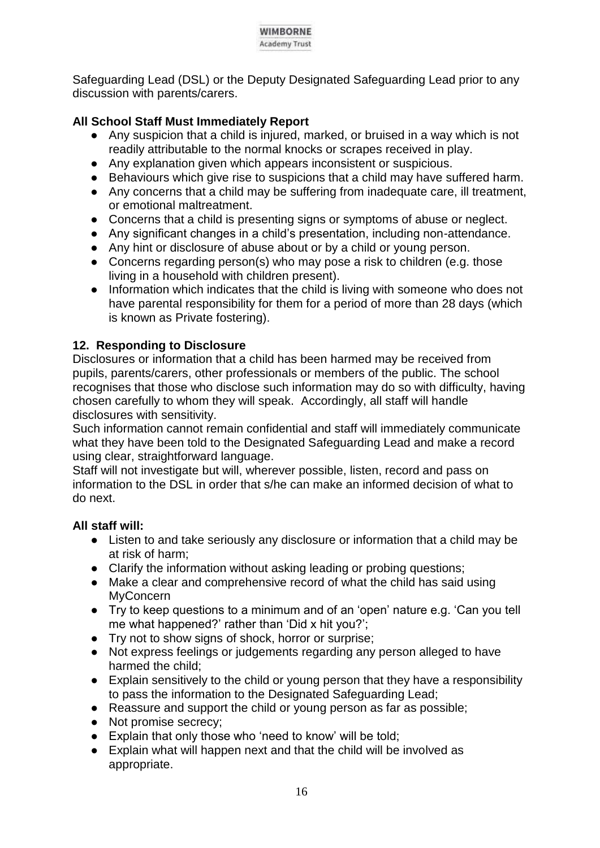

Safeguarding Lead (DSL) or the Deputy Designated Safeguarding Lead prior to any discussion with parents/carers.

## **All School Staff Must Immediately Report**

- Any suspicion that a child is injured, marked, or bruised in a way which is not readily attributable to the normal knocks or scrapes received in play.
- Any explanation given which appears inconsistent or suspicious.
- Behaviours which give rise to suspicions that a child may have suffered harm.
- Any concerns that a child may be suffering from inadequate care, ill treatment, or emotional maltreatment.
- Concerns that a child is presenting signs or symptoms of abuse or neglect.
- Any significant changes in a child's presentation, including non-attendance.
- Any hint or disclosure of abuse about or by a child or young person.
- Concerns regarding person(s) who may pose a risk to children (e.g. those living in a household with children present).
- Information which indicates that the child is living with someone who does not have parental responsibility for them for a period of more than 28 days (which is known as Private fostering).

## **12. Responding to Disclosure**

Disclosures or information that a child has been harmed may be received from pupils, parents/carers, other professionals or members of the public. The school recognises that those who disclose such information may do so with difficulty, having chosen carefully to whom they will speak. Accordingly, all staff will handle disclosures with sensitivity.

Such information cannot remain confidential and staff will immediately communicate what they have been told to the Designated Safeguarding Lead and make a record using clear, straightforward language.

Staff will not investigate but will, wherever possible, listen, record and pass on information to the DSL in order that s/he can make an informed decision of what to do next.

### **All staff will:**

- Listen to and take seriously any disclosure or information that a child may be at risk of harm;
- Clarify the information without asking leading or probing questions;
- Make a clear and comprehensive record of what the child has said using **MyConcern**
- Try to keep questions to a minimum and of an 'open' nature e.g. 'Can you tell me what happened?' rather than 'Did x hit you?';
- Try not to show signs of shock, horror or surprise;
- Not express feelings or judgements regarding any person alleged to have harmed the child;
- Explain sensitively to the child or young person that they have a responsibility to pass the information to the Designated Safeguarding Lead;
- Reassure and support the child or young person as far as possible;
- Not promise secrecy;
- Explain that only those who 'need to know' will be told;
- Explain what will happen next and that the child will be involved as appropriate.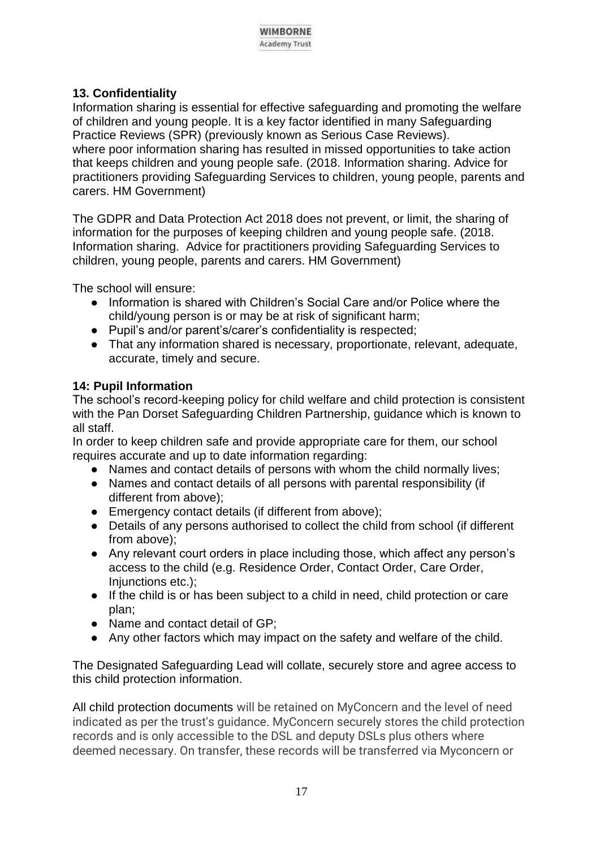## **13. Confidentiality**

Information sharing is essential for effective safeguarding and promoting the welfare of children and young people. It is a key factor identified in many Safeguarding Practice Reviews (SPR) (previously known as Serious Case Reviews). where poor information sharing has resulted in missed opportunities to take action that keeps children and young people safe. (2018. Information sharing. Advice for practitioners providing Safeguarding Services to children, young people, parents and carers. HM Government)

The GDPR and Data Protection Act 2018 does not prevent, or limit, the sharing of information for the purposes of keeping children and young people safe. (2018. Information sharing. Advice for practitioners providing Safeguarding Services to children, young people, parents and carers. HM Government)

The school will ensure:

- Information is shared with Children's Social Care and/or Police where the child/young person is or may be at risk of significant harm;
- Pupil's and/or parent's/carer's confidentiality is respected;
- That any information shared is necessary, proportionate, relevant, adequate, accurate, timely and secure.

## **14: Pupil Information**

The school's record-keeping policy for child welfare and child protection is consistent with the Pan Dorset Safeguarding Children Partnership, guidance which is known to all staff.

In order to keep children safe and provide appropriate care for them, our school requires accurate and up to date information regarding:

- Names and contact details of persons with whom the child normally lives;
- Names and contact details of all persons with parental responsibility (if different from above);
- Emergency contact details (if different from above);
- Details of any persons authorised to collect the child from school (if different from above);
- Any relevant court orders in place including those, which affect any person's access to the child (e.g. Residence Order, Contact Order, Care Order, Injunctions etc.);
- If the child is or has been subject to a child in need, child protection or care plan;
- Name and contact detail of GP;
- Any other factors which may impact on the safety and welfare of the child.

The Designated Safeguarding Lead will collate, securely store and agree access to this child protection information.

All child protection documents will be retained on MyConcern and the level of need indicated as per the trust's guidance. MyConcern securely stores the child protection records and is only accessible to the DSL and deputy DSLs plus others where deemed necessary. On transfer, these records will be transferred via Myconcern or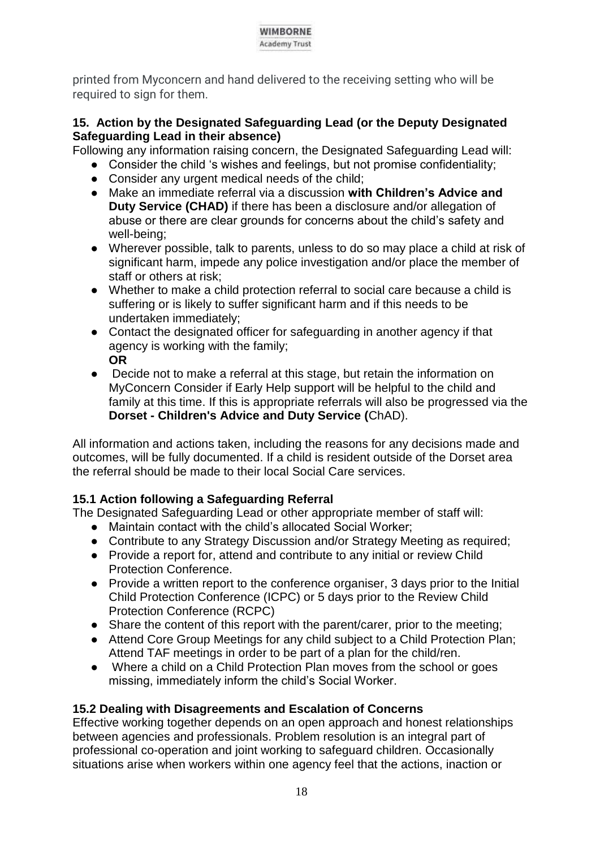

printed from Myconcern and hand delivered to the receiving setting who will be required to sign for them.

## **15. Action by the Designated Safeguarding Lead (or the Deputy Designated Safeguarding Lead in their absence)**

Following any information raising concern, the Designated Safeguarding Lead will:

- Consider the child 's wishes and feelings, but not promise confidentiality;
- Consider any urgent medical needs of the child;
- Make an immediate referral via a discussion **with Children's Advice and Duty Service (CHAD)** if there has been a disclosure and/or allegation of abuse or there are clear grounds for concerns about the child's safety and well-being;
- Wherever possible, talk to parents, unless to do so may place a child at risk of significant harm, impede any police investigation and/or place the member of staff or others at risk;
- Whether to make a child protection referral to social care because a child is suffering or is likely to suffer significant harm and if this needs to be undertaken immediately;
- Contact the designated officer for safeguarding in another agency if that agency is working with the family; **OR**
- Decide not to make a referral at this stage, but retain the information on MyConcern Consider if Early Help support will be helpful to the child and family at this time. If this is appropriate referrals will also be progressed via the **Dorset - Children's Advice and Duty Service (**ChAD).

All information and actions taken, including the reasons for any decisions made and outcomes, will be fully documented. If a child is resident outside of the Dorset area the referral should be made to their local Social Care services.

## **15.1 Action following a Safeguarding Referral**

The Designated Safeguarding Lead or other appropriate member of staff will:

- Maintain contact with the child's allocated Social Worker;
- Contribute to any Strategy Discussion and/or Strategy Meeting as required;
- Provide a report for, attend and contribute to any initial or review Child Protection Conference.
- Provide a written report to the conference organiser, 3 days prior to the Initial Child Protection Conference (ICPC) or 5 days prior to the Review Child Protection Conference (RCPC)
- Share the content of this report with the parent/carer, prior to the meeting;
- Attend Core Group Meetings for any child subject to a Child Protection Plan; Attend TAF meetings in order to be part of a plan for the child/ren.
- Where a child on a Child Protection Plan moves from the school or goes missing, immediately inform the child's Social Worker.

## **15.2 Dealing with Disagreements and Escalation of Concerns**

Effective working together depends on an open approach and honest relationships between agencies and professionals. Problem resolution is an integral part of professional co-operation and joint working to safeguard children. Occasionally situations arise when workers within one agency feel that the actions, inaction or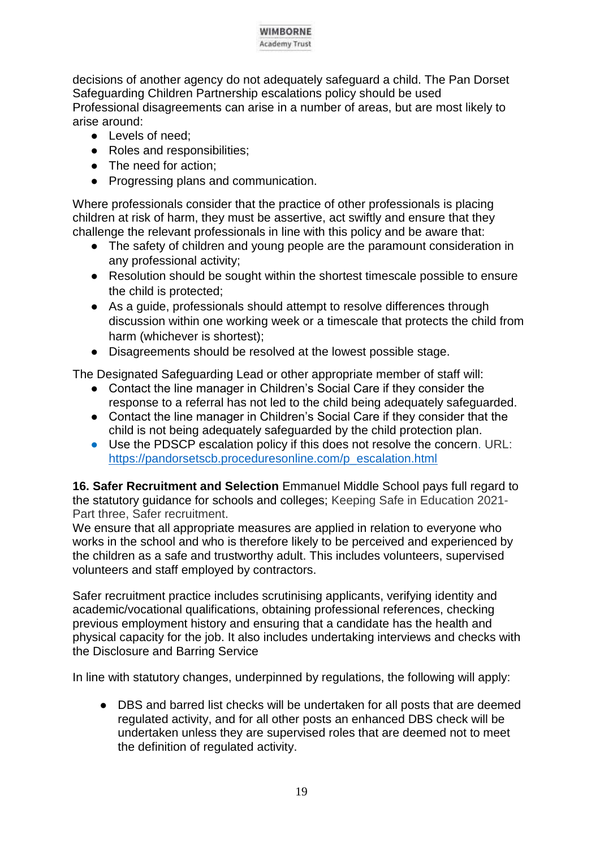

decisions of another agency do not adequately safeguard a child. The Pan Dorset Safeguarding Children Partnership escalations policy should be used Professional disagreements can arise in a number of areas, but are most likely to arise around:

- Levels of need;
- Roles and responsibilities;
- The need for action;
- Progressing plans and communication.

Where professionals consider that the practice of other professionals is placing children at risk of harm, they must be assertive, act swiftly and ensure that they challenge the relevant professionals in line with this policy and be aware that:

- The safety of children and young people are the paramount consideration in any professional activity;
- Resolution should be sought within the shortest timescale possible to ensure the child is protected;
- As a guide, professionals should attempt to resolve differences through discussion within one working week or a timescale that protects the child from harm (whichever is shortest);
- Disagreements should be resolved at the lowest possible stage.

The Designated Safeguarding Lead or other appropriate member of staff will:

- Contact the line manager in Children's Social Care if they consider the response to a referral has not led to the child being adequately safeguarded.
- Contact the line manager in Children's Social Care if they consider that the child is not being adequately safeguarded by the child protection plan.
- Use the PDSCP escalation policy if this does not resolve the concern. URL: [https://pandorsetscb.proceduresonline.com/p\\_escalation.html](https://pandorsetscb.proceduresonline.com/p_escalation.html)

**16. Safer Recruitment and Selection** Emmanuel Middle School pays full regard to the statutory guidance for schools and colleges; Keeping Safe in Education 2021- Part three, Safer recruitment.

We ensure that all appropriate measures are applied in relation to everyone who works in the school and who is therefore likely to be perceived and experienced by the children as a safe and trustworthy adult. This includes volunteers, supervised volunteers and staff employed by contractors.

Safer recruitment practice includes scrutinising applicants, verifying identity and academic/vocational qualifications, obtaining professional references, checking previous employment history and ensuring that a candidate has the health and physical capacity for the job. It also includes undertaking interviews and checks with the Disclosure and Barring Service

In line with statutory changes, underpinned by regulations, the following will apply:

● DBS and barred list checks will be undertaken for all posts that are deemed regulated activity, and for all other posts an enhanced DBS check will be undertaken unless they are supervised roles that are deemed not to meet the definition of regulated activity.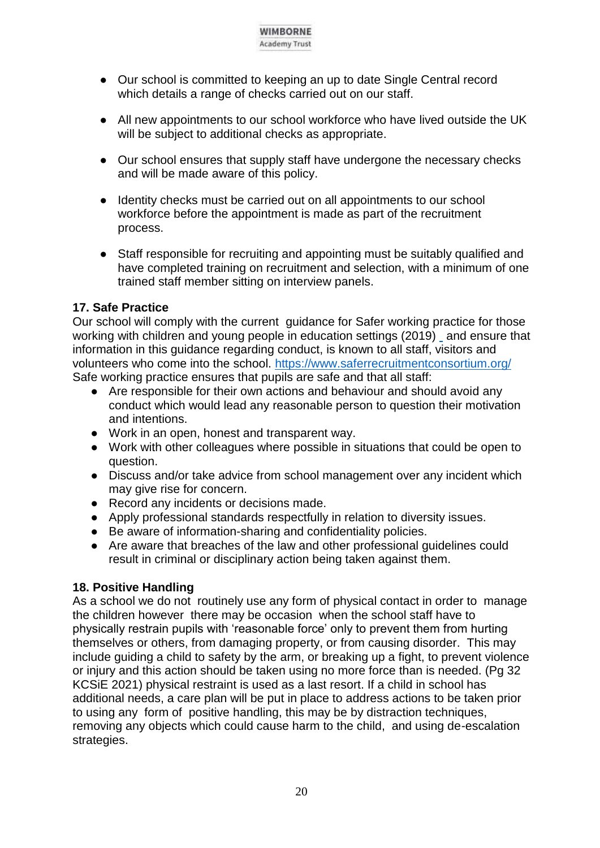● Our school is committed to keeping an up to date Single Central record which details a range of checks carried out on our staff.

**WIMBORNE Academy Trust** 

- All new appointments to our school workforce who have lived outside the UK will be subject to additional checks as appropriate.
- Our school ensures that supply staff have undergone the necessary checks and will be made aware of this policy.
- Identity checks must be carried out on all appointments to our school workforce before the appointment is made as part of the recruitment process.
- Staff responsible for recruiting and appointing must be suitably qualified and have completed training on recruitment and selection, with a minimum of one trained staff member sitting on interview panels.

## **17. Safe Practice**

Our school will comply with the current [guidance for Safer working practice for those](http://www.safeguardinginschools.co.uk/wp-content/uploads/2015/10/Guidance-for-Safer-Working-Practices-2015-final1.pdf)  [working with children and young people in education settings \(2019\)](http://www.safeguardinginschools.co.uk/wp-content/uploads/2015/10/Guidance-for-Safer-Working-Practices-2015-final1.pdf) and ensure that information in this guidance regarding conduct, is known to all staff, visitors and volunteers who come into the school.<https://www.saferrecruitmentconsortium.org/> Safe working practice ensures that pupils are safe and that all staff:

- Are responsible for their own actions and behaviour and should avoid any conduct which would lead any reasonable person to question their motivation and intentions.
- Work in an open, honest and transparent way.
- Work with other colleagues where possible in situations that could be open to question.
- Discuss and/or take advice from school management over any incident which may give rise for concern.
- Record any incidents or decisions made.
- Apply professional standards respectfully in relation to diversity issues.
- Be aware of information-sharing and confidentiality policies.
- Are aware that breaches of the law and other professional guidelines could result in criminal or disciplinary action being taken against them.

## **18. Positive Handling**

As a school we do not routinely use any form of physical contact in order to manage the children however there may be occasion when the school staff have to physically restrain pupils with 'reasonable force' only to prevent them from hurting themselves or others, from damaging property, or from causing disorder. This may include guiding a child to safety by the arm, or breaking up a fight, to prevent violence or injury and this action should be taken using no more force than is needed. (Pg 32 KCSiE 2021) physical restraint is used as a last resort. If a child in school has additional needs, a care plan will be put in place to address actions to be taken prior to using any form of positive handling, this may be by distraction techniques, removing any objects which could cause harm to the child, and using de-escalation strategies.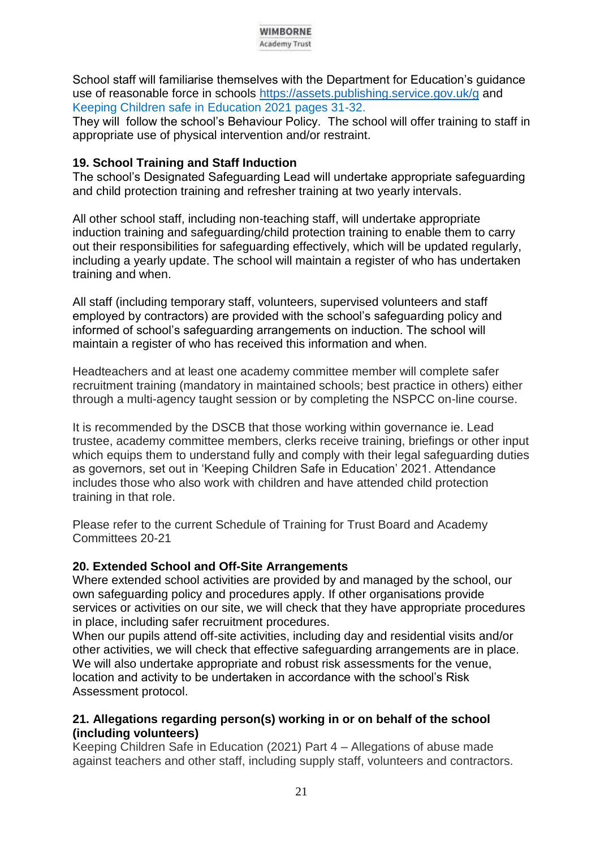School staff will familiarise themselves with the Department for Education's guidance use of reasonable force in schools<https://assets.publishing.service.gov.uk/g> and Keeping Children safe in Education 2021 pages 31-32.

They will follow the school's Behaviour Policy. The school will offer training to staff in appropriate use of physical intervention and/or restraint.

## **19. School Training and Staff Induction**

The school's Designated Safeguarding Lead will undertake appropriate safeguarding and child protection training and refresher training at two yearly intervals.

All other school staff, including non-teaching staff, will undertake appropriate induction training and safeguarding/child protection training to enable them to carry out their responsibilities for safeguarding effectively, which will be updated regularly, including a yearly update. The school will maintain a register of who has undertaken training and when.

All staff (including temporary staff, volunteers, supervised volunteers and staff employed by contractors) are provided with the school's safeguarding policy and informed of school's safeguarding arrangements on induction. The school will maintain a register of who has received this information and when.

Headteachers and at least one academy committee member will complete safer recruitment training (mandatory in maintained schools; best practice in others) either through a multi-agency taught session or by completing the NSPCC on-line course.

It is recommended by the DSCB that those working within governance ie. Lead trustee, academy committee members, clerks receive training, briefings or other input which equips them to understand fully and comply with their legal safeguarding duties as governors, set out in 'Keeping Children Safe in Education' 2021. Attendance includes those who also work with children and have attended child protection training in that role.

Please refer to the current Schedule of Training for Trust Board and Academy Committees 20-21

### **20. Extended School and Off-Site Arrangements**

Where extended school activities are provided by and managed by the school, our own safeguarding policy and procedures apply. If other organisations provide services or activities on our site, we will check that they have appropriate procedures in place, including safer recruitment procedures.

When our pupils attend off-site activities, including day and residential visits and/or other activities, we will check that effective safeguarding arrangements are in place. We will also undertake appropriate and robust risk assessments for the venue, location and activity to be undertaken in accordance with the school's Risk Assessment protocol.

### **21. Allegations regarding person(s) working in or on behalf of the school (including volunteers)**

Keeping Children Safe in Education (2021) Part 4 – Allegations of abuse made against teachers and other staff, including supply staff, volunteers and contractors.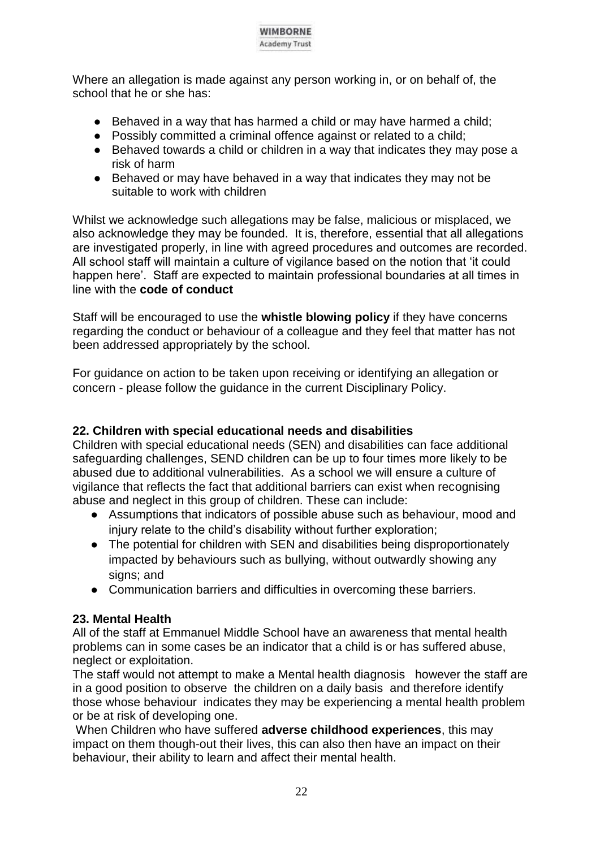

Where an allegation is made against any person working in, or on behalf of, the school that he or she has:

- Behaved in a way that has harmed a child or may have harmed a child;
- Possibly committed a criminal offence against or related to a child;
- Behaved towards a child or children in a way that indicates they may pose a risk of harm
- Behaved or may have behaved in a way that indicates they may not be suitable to work with children

Whilst we acknowledge such allegations may be false, malicious or misplaced, we also acknowledge they may be founded. It is, therefore, essential that all allegations are investigated properly, in line with agreed procedures and outcomes are recorded. All school staff will maintain a culture of vigilance based on the notion that 'it could happen here'. Staff are expected to maintain professional boundaries at all times in line with the **code of conduct**

Staff will be encouraged to use the **whistle blowing policy** if they have concerns regarding the conduct or behaviour of a colleague and they feel that matter has not been addressed appropriately by the school.

For guidance on action to be taken upon receiving or identifying an allegation or concern - please follow the guidance in the current Disciplinary Policy.

## **22. Children with special educational needs and disabilities**

Children with special educational needs (SEN) and disabilities can face additional safeguarding challenges, SEND children can be up to four times more likely to be abused due to additional vulnerabilities. As a school we will ensure a culture of vigilance that reflects the fact that additional barriers can exist when recognising abuse and neglect in this group of children. These can include:

- Assumptions that indicators of possible abuse such as behaviour, mood and injury relate to the child's disability without further exploration;
- The potential for children with SEN and disabilities being disproportionately impacted by behaviours such as bullying, without outwardly showing any signs; and
- Communication barriers and difficulties in overcoming these barriers.

## **23. Mental Health**

All of the staff at Emmanuel Middle School have an awareness that mental health problems can in some cases be an indicator that a child is or has suffered abuse, neglect or exploitation.

The staff would not attempt to make a Mental health diagnosis however the staff are in a good position to observe the children on a daily basis and therefore identify those whose behaviour indicates they may be experiencing a mental health problem or be at risk of developing one.

When Children who have suffered **adverse childhood experiences**, this may impact on them though-out their lives, this can also then have an impact on their behaviour, their ability to learn and affect their mental health.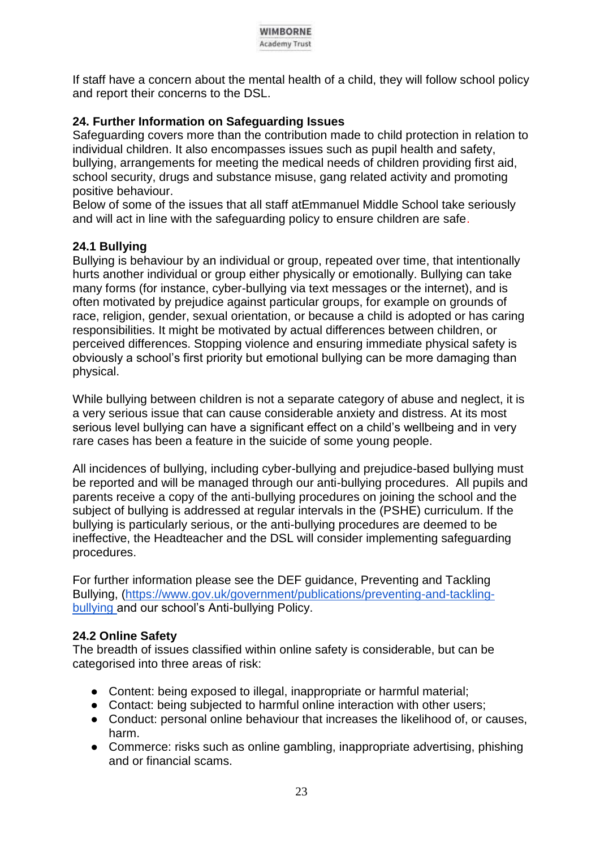If staff have a concern about the mental health of a child, they will follow school policy and report their concerns to the DSL.

## **24. Further Information on Safeguarding Issues**

Safeguarding covers more than the contribution made to child protection in relation to individual children. It also encompasses issues such as pupil health and safety, bullying, arrangements for meeting the medical needs of children providing first aid, school security, drugs and substance misuse, gang related activity and promoting positive behaviour.

Below of some of the issues that all staff atEmmanuel Middle School take seriously and will act in line with the safeguarding policy to ensure children are safe.

## **24.1 Bullying**

Bullying is behaviour by an individual or group, repeated over time, that intentionally hurts another individual or group either physically or emotionally. Bullying can take many forms (for instance, cyber-bullying via text messages or the internet), and is often motivated by prejudice against particular groups, for example on grounds of race, religion, gender, sexual orientation, or because a child is adopted or has caring responsibilities. It might be motivated by actual differences between children, or perceived differences. Stopping violence and ensuring immediate physical safety is obviously a school's first priority but emotional bullying can be more damaging than physical.

While bullying between children is not a separate category of abuse and neglect, it is a very serious issue that can cause considerable anxiety and distress. At its most serious level bullying can have a significant effect on a child's wellbeing and in very rare cases has been a feature in the suicide of some young people.

All incidences of bullying, including cyber-bullying and prejudice-based bullying must be reported and will be managed through our anti-bullying procedures. All pupils and parents receive a copy of the anti-bullying procedures on joining the school and the subject of bullying is addressed at regular intervals in the (PSHE) curriculum. If the bullying is particularly serious, or the anti-bullying procedures are deemed to be ineffective, the Headteacher and the DSL will consider implementing safeguarding procedures.

For further information please see the DEF guidance, Preventing and Tackling Bullying, [\(https://www.gov.uk/government/publications/preventing-and-tackling](https://www.gov.uk/government/publications/preventing-and-tackling-bullying)[bullying](https://www.gov.uk/government/publications/preventing-and-tackling-bullying) and our school's Anti-bullying Policy.

## **24.2 Online Safety**

The breadth of issues classified within online safety is considerable, but can be categorised into three areas of risk:

- Content: being exposed to illegal, inappropriate or harmful material;
- Contact: being subjected to harmful online interaction with other users;
- Conduct: personal online behaviour that increases the likelihood of, or causes, harm.
- Commerce: risks such as online gambling, inappropriate advertising, phishing and or financial scams.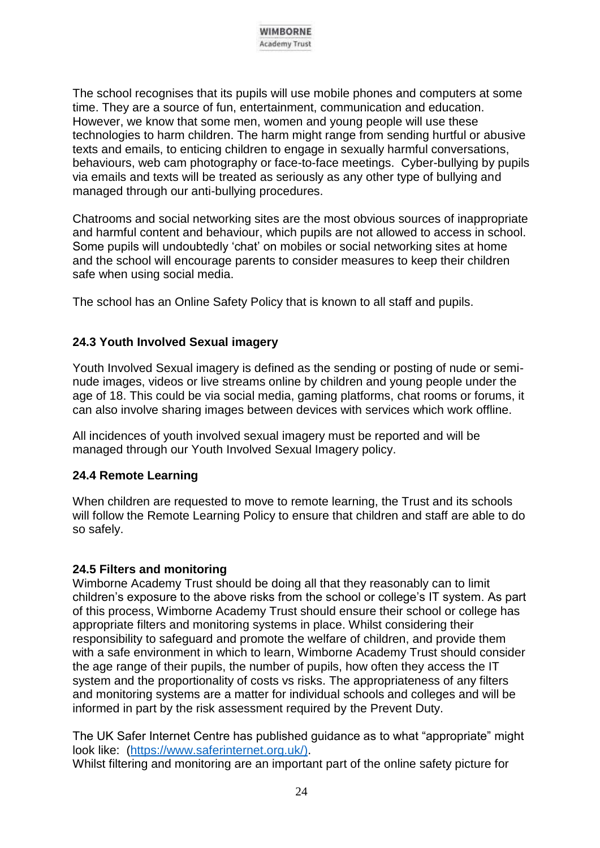The school recognises that its pupils will use mobile phones and computers at some time. They are a source of fun, entertainment, communication and education. However, we know that some men, women and young people will use these technologies to harm children. The harm might range from sending hurtful or abusive texts and emails, to enticing children to engage in sexually harmful conversations, behaviours, web cam photography or face-to-face meetings. Cyber-bullying by pupils via emails and texts will be treated as seriously as any other type of bullying and managed through our anti-bullying procedures.

Chatrooms and social networking sites are the most obvious sources of inappropriate and harmful content and behaviour, which pupils are not allowed to access in school. Some pupils will undoubtedly 'chat' on mobiles or social networking sites at home and the school will encourage parents to consider measures to keep their children safe when using social media.

The school has an Online Safety Policy that is known to all staff and pupils.

## **24.3 Youth Involved Sexual imagery**

Youth Involved Sexual imagery is defined as the sending or posting of nude or seminude images, videos or live streams online by children and young people under the age of 18. This could be via social media, gaming platforms, chat rooms or forums, it can also involve sharing images between devices with services which work offline.

All incidences of youth involved sexual imagery must be reported and will be managed through our Youth Involved Sexual Imagery policy.

### **24.4 Remote Learning**

When children are requested to move to remote learning, the Trust and its schools will follow the Remote Learning Policy to ensure that children and staff are able to do so safely.

### **24.5 Filters and monitoring**

Wimborne Academy Trust should be doing all that they reasonably can to limit children's exposure to the above risks from the school or college's IT system. As part of this process, Wimborne Academy Trust should ensure their school or college has appropriate filters and monitoring systems in place. Whilst considering their responsibility to safeguard and promote the welfare of children, and provide them with a safe environment in which to learn, Wimborne Academy Trust should consider the age range of their pupils, the number of pupils, how often they access the IT system and the proportionality of costs vs risks. The appropriateness of any filters and monitoring systems are a matter for individual schools and colleges and will be informed in part by the risk assessment required by the Prevent Duty.

The UK Safer Internet Centre has published guidance as to what "appropriate" might look like: [\(https://www.saferinternet.org.uk/\)](https://www.saferinternet.org.uk/).

Whilst filtering and monitoring are an important part of the online safety picture for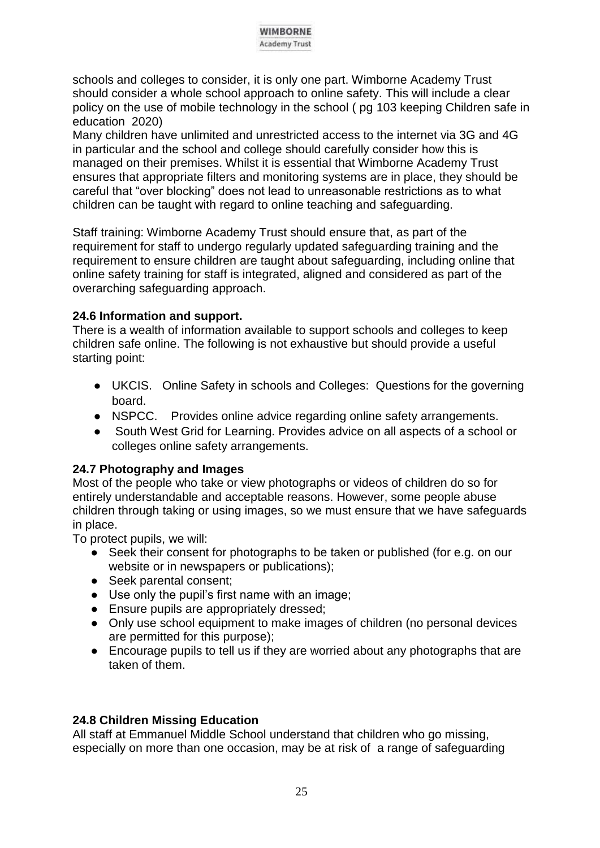

schools and colleges to consider, it is only one part. Wimborne Academy Trust should consider a whole school approach to online safety. This will include a clear policy on the use of mobile technology in the school ( pg 103 keeping Children safe in education 2020)

Many children have unlimited and unrestricted access to the internet via 3G and 4G in particular and the school and college should carefully consider how this is managed on their premises. Whilst it is essential that Wimborne Academy Trust ensures that appropriate filters and monitoring systems are in place, they should be careful that "over blocking" does not lead to unreasonable restrictions as to what children can be taught with regard to online teaching and safeguarding.

Staff training: Wimborne Academy Trust should ensure that, as part of the requirement for staff to undergo regularly updated safeguarding training and the requirement to ensure children are taught about safeguarding, including online that online safety training for staff is integrated, aligned and considered as part of the overarching safeguarding approach.

## **24.6 Information and support.**

There is a wealth of information available to support schools and colleges to keep children safe online. The following is not exhaustive but should provide a useful starting point:

- UKCIS. Online Safety in schools and Colleges: Questions for the governing board.
- NSPCC. Provides online advice regarding online safety arrangements.
- South West Grid for Learning. Provides advice on all aspects of a school or colleges online safety arrangements.

### **24.7 Photography and Images**

Most of the people who take or view photographs or videos of children do so for entirely understandable and acceptable reasons. However, some people abuse children through taking or using images, so we must ensure that we have safeguards in place.

To protect pupils, we will:

- Seek their consent for photographs to be taken or published (for e.g. on our website or in newspapers or publications);
- Seek parental consent;
- Use only the pupil's first name with an image;
- Ensure pupils are appropriately dressed;
- Only use school equipment to make images of children (no personal devices are permitted for this purpose);
- Encourage pupils to tell us if they are worried about any photographs that are taken of them.

## **24.8 Children Missing Education**

All staff at Emmanuel Middle School understand that children who go missing, especially on more than one occasion, may be at risk of a range of safeguarding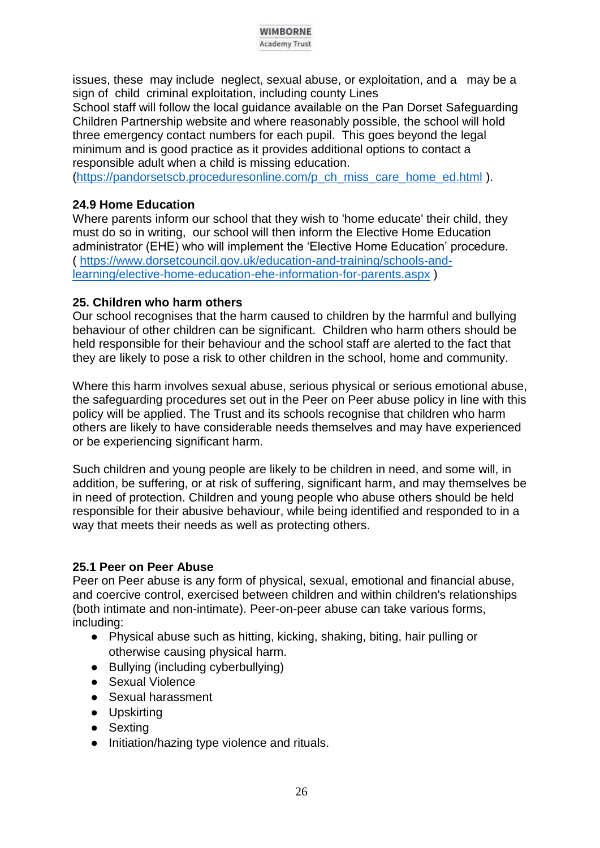

issues, these may include neglect, sexual abuse, or exploitation, and a may be a sign of child criminal exploitation, including county Lines

School staff will follow the local guidance available on the Pan Dorset Safeguarding Children Partnership website and where reasonably possible, the school will hold three emergency contact numbers for each pupil. This goes beyond the legal minimum and is good practice as it provides additional options to contact a responsible adult when a child is missing education.

[\(https://pandorsetscb.proceduresonline.com/p\\_ch\\_miss\\_care\\_home\\_ed.html](https://pandorsetscb.proceduresonline.com/p_ch_miss_care_home_ed.html) ).

## **24.9 Home Education**

Where parents inform our school that they wish to 'home educate' their child, they must do so in writing, our school will then inform the Elective Home Education administrator (EHE) who will implement the 'Elective Home Education' procedure. ( [https://www.dorsetcouncil.gov.uk/education-and-training/schools-and](https://www.dorsetcouncil.gov.uk/education-and-training/schools-and-learning/elective-home-education-ehe-information-for-parents.aspx)[learning/elective-home-education-ehe-information-for-parents.aspx](https://www.dorsetcouncil.gov.uk/education-and-training/schools-and-learning/elective-home-education-ehe-information-for-parents.aspx) )

## **25. Children who harm others**

Our school recognises that the harm caused to children by the harmful and bullying behaviour of other children can be significant. Children who harm others should be held responsible for their behaviour and the school staff are alerted to the fact that they are likely to pose a risk to other children in the school, home and community.

Where this harm involves sexual abuse, serious physical or serious emotional abuse, the safeguarding procedures set out in the Peer on Peer abuse policy in line with this policy will be applied. The Trust and its schools recognise that children who harm others are likely to have considerable needs themselves and may have experienced or be experiencing significant harm.

Such children and young people are likely to be children in need, and some will, in addition, be suffering, or at risk of suffering, significant harm, and may themselves be in need of protection. Children and young people who abuse others should be held responsible for their abusive behaviour, while being identified and responded to in a way that meets their needs as well as protecting others.

### **25.1 Peer on Peer Abuse**

Peer on Peer abuse is any form of physical, sexual, emotional and financial abuse, and coercive control, exercised between children and within children's relationships (both intimate and non-intimate). Peer-on-peer abuse can take various forms, including:

- Physical abuse such as hitting, kicking, shaking, biting, hair pulling or otherwise causing physical harm.
- Bullying (including cyberbullying)
- Sexual Violence
- Sexual harassment
- Upskirting
- Sexting
- Initiation/hazing type violence and rituals.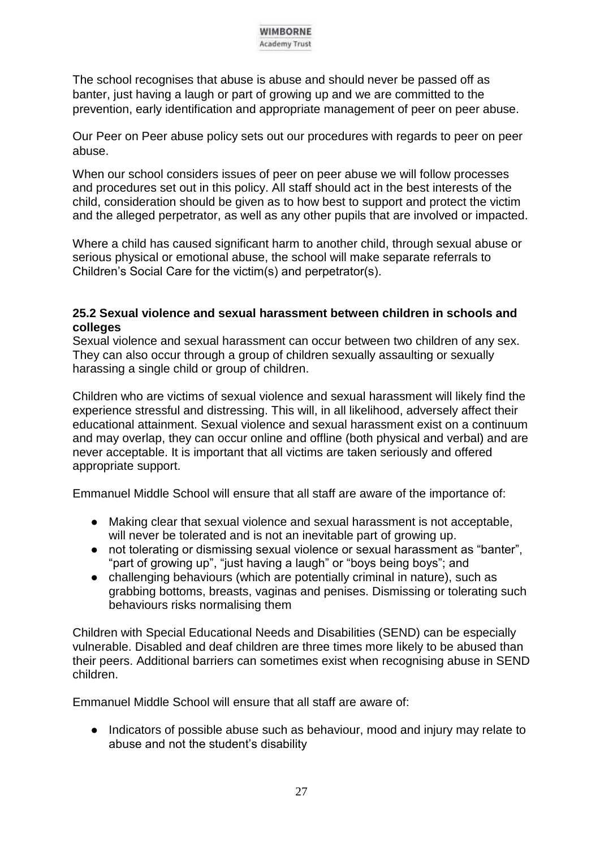

The school recognises that abuse is abuse and should never be passed off as banter, just having a laugh or part of growing up and we are committed to the prevention, early identification and appropriate management of peer on peer abuse.

Our Peer on Peer abuse policy sets out our procedures with regards to peer on peer abuse.

When our school considers issues of peer on peer abuse we will follow processes and procedures set out in this policy. All staff should act in the best interests of the child, consideration should be given as to how best to support and protect the victim and the alleged perpetrator, as well as any other pupils that are involved or impacted.

Where a child has caused significant harm to another child, through sexual abuse or serious physical or emotional abuse, the school will make separate referrals to Children's Social Care for the victim(s) and perpetrator(s).

## **25.2 Sexual violence and sexual harassment between children in schools and colleges**

Sexual violence and sexual harassment can occur between two children of any sex. They can also occur through a group of children sexually assaulting or sexually harassing a single child or group of children.

Children who are victims of sexual violence and sexual harassment will likely find the experience stressful and distressing. This will, in all likelihood, adversely affect their educational attainment. Sexual violence and sexual harassment exist on a continuum and may overlap, they can occur online and offline (both physical and verbal) and are never acceptable. It is important that all victims are taken seriously and offered appropriate support.

Emmanuel Middle School will ensure that all staff are aware of the importance of:

- Making clear that sexual violence and sexual harassment is not acceptable, will never be tolerated and is not an inevitable part of growing up.
- not tolerating or dismissing sexual violence or sexual harassment as "banter", "part of growing up", "just having a laugh" or "boys being boys"; and
- challenging behaviours (which are potentially criminal in nature), such as grabbing bottoms, breasts, vaginas and penises. Dismissing or tolerating such behaviours risks normalising them

Children with Special Educational Needs and Disabilities (SEND) can be especially vulnerable. Disabled and deaf children are three times more likely to be abused than their peers. Additional barriers can sometimes exist when recognising abuse in SEND children.

Emmanuel Middle School will ensure that all staff are aware of:

● Indicators of possible abuse such as behaviour, mood and injury may relate to abuse and not the student's disability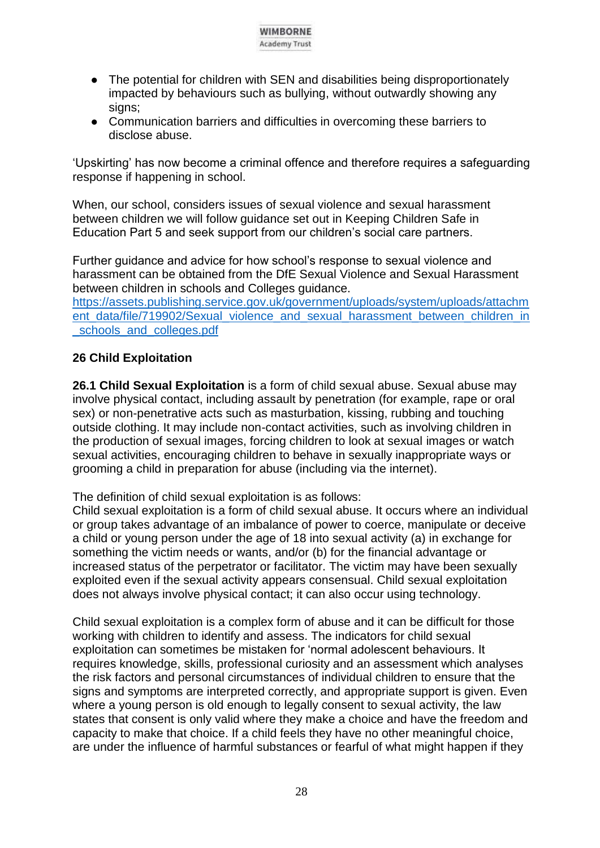

- The potential for children with SEN and disabilities being disproportionately impacted by behaviours such as bullying, without outwardly showing any signs:
- Communication barriers and difficulties in overcoming these barriers to disclose abuse.

'Upskirting' has now become a criminal offence and therefore requires a safeguarding response if happening in school.

When, our school, considers issues of sexual violence and sexual harassment between children we will follow guidance set out in Keeping Children Safe in Education Part 5 and seek support from our children's social care partners.

Further guidance and advice for how school's response to sexual violence and harassment can be obtained from the DfE Sexual Violence and Sexual Harassment between children in schools and Colleges guidance.

[https://assets.publishing.service.gov.uk/government/uploads/system/uploads/attachm](https://assets.publishing.service.gov.uk/government/uploads/system/uploads/attachment_data/file/719902/Sexual_violence_and_sexual_harassment_between_children_in_schools_and_colleges.pdf) [ent\\_data/file/719902/Sexual\\_violence\\_and\\_sexual\\_harassment\\_between\\_children\\_in](https://assets.publishing.service.gov.uk/government/uploads/system/uploads/attachment_data/file/719902/Sexual_violence_and_sexual_harassment_between_children_in_schools_and_colleges.pdf) schools and colleges.pdf

## **26 Child Exploitation**

**26.1 Child Sexual Exploitation** is a form of child sexual abuse. Sexual abuse may involve physical contact, including assault by penetration (for example, rape or oral sex) or non-penetrative acts such as masturbation, kissing, rubbing and touching outside clothing. It may include non-contact activities, such as involving children in the production of sexual images, forcing children to look at sexual images or watch sexual activities, encouraging children to behave in sexually inappropriate ways or grooming a child in preparation for abuse (including via the internet).

The definition of child sexual exploitation is as follows:

Child sexual exploitation is a form of child sexual abuse. It occurs where an individual or group takes advantage of an imbalance of power to coerce, manipulate or deceive a child or young person under the age of 18 into sexual activity (a) in exchange for something the victim needs or wants, and/or (b) for the financial advantage or increased status of the perpetrator or facilitator. The victim may have been sexually exploited even if the sexual activity appears consensual. Child sexual exploitation does not always involve physical contact; it can also occur using technology.

Child sexual exploitation is a complex form of abuse and it can be difficult for those working with children to identify and assess. The indicators for child sexual exploitation can sometimes be mistaken for 'normal adolescent behaviours. It requires knowledge, skills, professional curiosity and an assessment which analyses the risk factors and personal circumstances of individual children to ensure that the signs and symptoms are interpreted correctly, and appropriate support is given. Even where a young person is old enough to legally consent to sexual activity, the law states that consent is only valid where they make a choice and have the freedom and capacity to make that choice. If a child feels they have no other meaningful choice, are under the influence of harmful substances or fearful of what might happen if they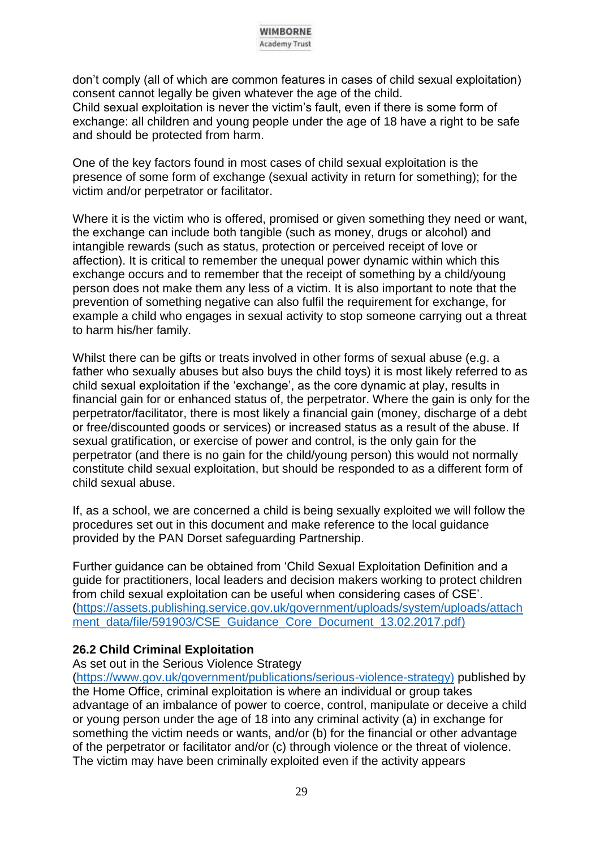don't comply (all of which are common features in cases of child sexual exploitation) consent cannot legally be given whatever the age of the child. Child sexual exploitation is never the victim's fault, even if there is some form of exchange: all children and young people under the age of 18 have a right to be safe and should be protected from harm.

One of the key factors found in most cases of child sexual exploitation is the presence of some form of exchange (sexual activity in return for something); for the victim and/or perpetrator or facilitator.

Where it is the victim who is offered, promised or given something they need or want, the exchange can include both tangible (such as money, drugs or alcohol) and intangible rewards (such as status, protection or perceived receipt of love or affection). It is critical to remember the unequal power dynamic within which this exchange occurs and to remember that the receipt of something by a child/young person does not make them any less of a victim. It is also important to note that the prevention of something negative can also fulfil the requirement for exchange, for example a child who engages in sexual activity to stop someone carrying out a threat to harm his/her family.

Whilst there can be gifts or treats involved in other forms of sexual abuse (e.g. a father who sexually abuses but also buys the child toys) it is most likely referred to as child sexual exploitation if the 'exchange', as the core dynamic at play, results in financial gain for or enhanced status of, the perpetrator. Where the gain is only for the perpetrator/facilitator, there is most likely a financial gain (money, discharge of a debt or free/discounted goods or services) or increased status as a result of the abuse. If sexual gratification, or exercise of power and control, is the only gain for the perpetrator (and there is no gain for the child/young person) this would not normally constitute child sexual exploitation, but should be responded to as a different form of child sexual abuse.

If, as a school, we are concerned a child is being sexually exploited we will follow the procedures set out in this document and make reference to the local guidance provided by the PAN Dorset safeguarding Partnership.

Further guidance can be obtained from 'Child Sexual Exploitation Definition and a guide for practitioners, local leaders and decision makers working to protect children from child sexual exploitation can be useful when considering cases of CSE'. [\(https://assets.publishing.service.gov.uk/government/uploads/system/uploads/attach](https://assets.publishing.service.gov.uk/government/uploads/system/uploads/attachment_data/file/591903/CSE_Guidance_Core_Document_13.02.2017.pdf) [ment\\_data/file/591903/CSE\\_Guidance\\_Core\\_Document\\_13.02.2017.pdf\)](https://assets.publishing.service.gov.uk/government/uploads/system/uploads/attachment_data/file/591903/CSE_Guidance_Core_Document_13.02.2017.pdf)

## **26.2 Child Criminal Exploitation**

### As set out in the Serious Violence Strategy

[\(https://www.gov.uk/government/publications/serious-violence-strategy\)](https://www.gov.uk/government/publications/serious-violence-strategy) published by the Home Office, criminal exploitation is where an individual or group takes advantage of an imbalance of power to coerce, control, manipulate or deceive a child or young person under the age of 18 into any criminal activity (a) in exchange for something the victim needs or wants, and/or (b) for the financial or other advantage of the perpetrator or facilitator and/or (c) through violence or the threat of violence. The victim may have been criminally exploited even if the activity appears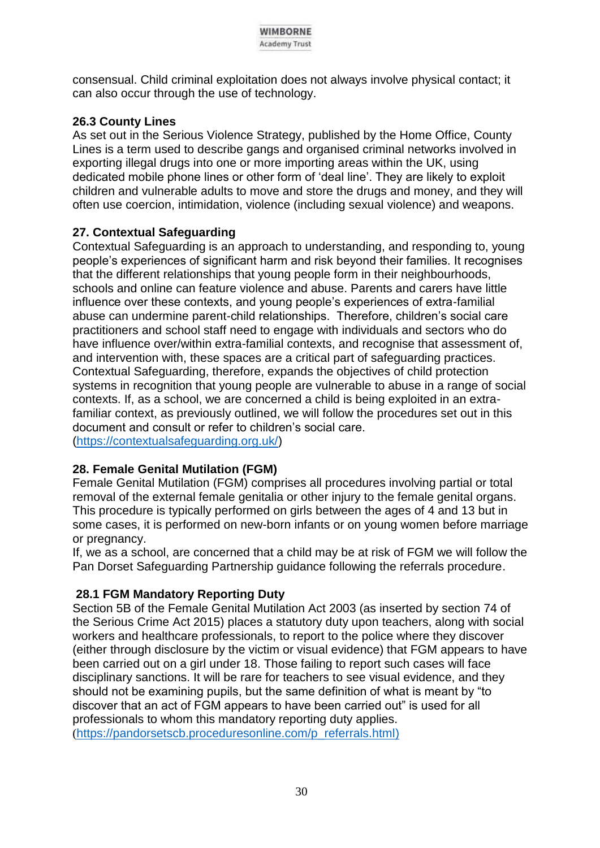consensual. Child criminal exploitation does not always involve physical contact; it can also occur through the use of technology.

## **26.3 County Lines**

As set out in the Serious Violence Strategy, published by the Home Office, County Lines is a term used to describe gangs and organised criminal networks involved in exporting illegal drugs into one or more importing areas within the UK, using dedicated mobile phone lines or other form of 'deal line'. They are likely to exploit children and vulnerable adults to move and store the drugs and money, and they will often use coercion, intimidation, violence (including sexual violence) and weapons.

## **27. Contextual Safeguarding**

Contextual Safeguarding is an approach to understanding, and responding to, young people's experiences of significant harm and risk beyond their families. It recognises that the different relationships that young people form in their neighbourhoods, schools and online can feature violence and abuse. Parents and carers have little influence over these contexts, and young people's experiences of extra-familial abuse can undermine parent-child relationships. Therefore, children's social care practitioners and school staff need to engage with individuals and sectors who do have influence over/within extra-familial contexts, and recognise that assessment of, and intervention with, these spaces are a critical part of safeguarding practices. Contextual Safeguarding, therefore, expands the objectives of child protection systems in recognition that young people are vulnerable to abuse in a range of social contexts. If, as a school, we are concerned a child is being exploited in an extrafamiliar context, as previously outlined, we will follow the procedures set out in this document and consult or refer to children's social care. [\(https://contextualsafeguarding.org.uk/\)](https://contextualsafeguarding.org.uk/)

# **28. Female Genital Mutilation (FGM)**

Female Genital Mutilation (FGM) comprises all procedures involving partial or total removal of the external female genitalia or other injury to the female genital organs. This procedure is typically performed on girls between the ages of 4 and 13 but in some cases, it is performed on new-born infants or on young women before marriage or pregnancy.

If, we as a school, are concerned that a child may be at risk of FGM we will follow the Pan Dorset Safeguarding Partnership guidance following the referrals procedure.

## **28.1 FGM Mandatory Reporting Duty**

Section 5B of the Female Genital Mutilation Act 2003 (as inserted by section 74 of the Serious Crime Act 2015) places a statutory duty upon teachers, along with social workers and healthcare professionals, to report to the police where they discover (either through disclosure by the victim or visual evidence) that FGM appears to have been carried out on a girl under 18. Those failing to report such cases will face disciplinary sanctions. It will be rare for teachers to see visual evidence, and they should not be examining pupils, but the same definition of what is meant by "to discover that an act of FGM appears to have been carried out" is used for all professionals to whom this mandatory reporting duty applies. ([https://pandorsetscb.proceduresonline.com/p\\_referrals.html\)](https://pandorsetscb.proceduresonline.com/p_referrals.html)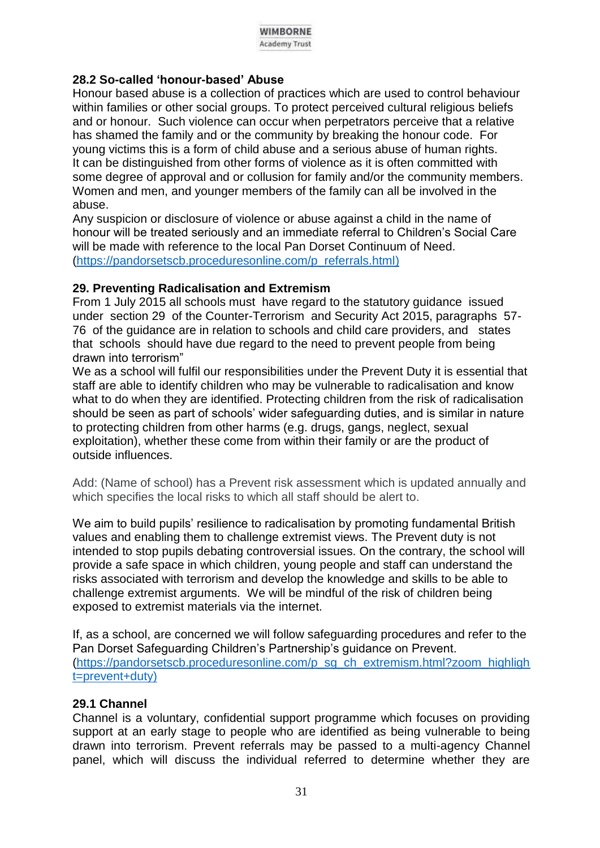

## **28.2 So-called 'honour-based' Abuse**

Honour based abuse is a collection of practices which are used to control behaviour within families or other social groups. To protect perceived cultural religious beliefs and or honour. Such violence can occur when perpetrators perceive that a relative has shamed the family and or the community by breaking the honour code. For young victims this is a form of child abuse and a serious abuse of human rights. It can be distinguished from other forms of violence as it is often committed with some degree of approval and or collusion for family and/or the community members. Women and men, and younger members of the family can all be involved in the abuse.

Any suspicion or disclosure of violence or abuse against a child in the name of honour will be treated seriously and an immediate referral to Children's Social Care will be made with reference to the local Pan Dorset Continuum of Need. [\(https://pandorsetscb.proceduresonline.com/p\\_referrals.html\)](https://pandorsetscb.proceduresonline.com/p_referrals.html)

### **29. Preventing Radicalisation and Extremism**

From 1 July 2015 all schools must have regard to the statutory guidance issued under section 29 of the Counter-Terrorism and Security Act 2015, paragraphs 57- 76 of the guidance are in relation to schools and child care providers, and states that schools should have due regard to the need to prevent people from being drawn into terrorism"

We as a school will fulfil our responsibilities under the Prevent Duty it is essential that staff are able to identify children who may be vulnerable to radicalisation and know what to do when they are identified. Protecting children from the risk of radicalisation should be seen as part of schools' wider safeguarding duties, and is similar in nature to protecting children from other harms (e.g. drugs, gangs, neglect, sexual exploitation), whether these come from within their family or are the product of outside influences.

Add: (Name of school) has a Prevent risk assessment which is updated annually and which specifies the local risks to which all staff should be alert to.

We aim to build pupils' resilience to radicalisation by promoting fundamental British values and enabling them to challenge extremist views. The Prevent duty is not intended to stop pupils debating controversial issues. On the contrary, the school will provide a safe space in which children, young people and staff can understand the risks associated with terrorism and develop the knowledge and skills to be able to challenge extremist arguments. We will be mindful of the risk of children being exposed to extremist materials via the internet.

If, as a school, are concerned we will follow safeguarding procedures and refer to the Pan Dorset Safeguarding Children's Partnership's guidance on Prevent. [\(https://pandorsetscb.proceduresonline.com/p\\_sg\\_ch\\_extremism.html?zoom\\_highligh](https://pandorsetscb.proceduresonline.com/p_sg_ch_extremism.html?zoom_highlight=prevent+duty) [t=prevent+duty\)](https://pandorsetscb.proceduresonline.com/p_sg_ch_extremism.html?zoom_highlight=prevent+duty)

### **29.1 Channel**

Channel is a voluntary, confidential support programme which focuses on providing support at an early stage to people who are identified as being vulnerable to being drawn into terrorism. Prevent referrals may be passed to a multi-agency Channel panel, which will discuss the individual referred to determine whether they are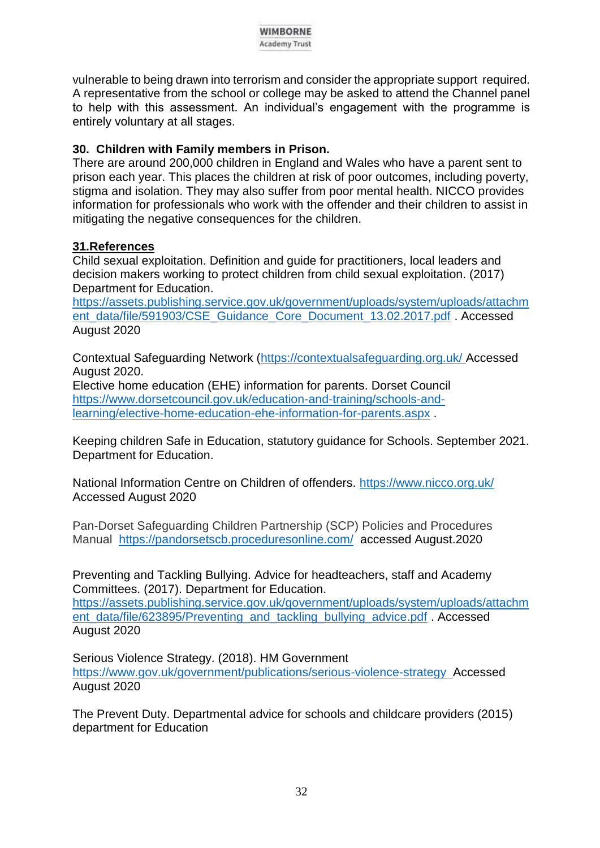vulnerable to being drawn into terrorism and consider the appropriate support required. A representative from the school or college may be asked to attend the Channel panel to help with this assessment. An individual's engagement with the programme is entirely voluntary at all stages.

**WIMBORNE Academy Trust** 

## **30. Children with Family members in Prison.**

There are around 200,000 children in England and Wales who have a parent sent to prison each year. This places the children at risk of poor outcomes, including poverty, stigma and isolation. They may also suffer from poor mental health. NICCO provides information for professionals who work with the offender and their children to assist in mitigating the negative consequences for the children.

### **31.References**

Child sexual exploitation. Definition and guide for practitioners, local leaders and decision makers working to protect children from child sexual exploitation. (2017) Department for Education.

[https://assets.publishing.service.gov.uk/government/uploads/system/uploads/attachm](https://assets.publishing.service.gov.uk/government/uploads/system/uploads/attachment_data/file/591903/CSE_Guidance_Core_Document_13.02.2017.pdf) [ent\\_data/file/591903/CSE\\_Guidance\\_Core\\_Document\\_13.02.2017.pdf](https://assets.publishing.service.gov.uk/government/uploads/system/uploads/attachment_data/file/591903/CSE_Guidance_Core_Document_13.02.2017.pdf) . Accessed August 2020

Contextual Safeguarding Network [\(https://contextualsafeguarding.org.uk/](https://contextualsafeguarding.org.uk/) Accessed August 2020.

Elective home education (EHE) information for parents. Dorset Council [https://www.dorsetcouncil.gov.uk/education-and-training/schools-and](https://www.dorsetcouncil.gov.uk/education-and-training/schools-and-learning/elective-home-education-ehe-information-for-parents.aspx)[learning/elective-home-education-ehe-information-for-parents.aspx](https://www.dorsetcouncil.gov.uk/education-and-training/schools-and-learning/elective-home-education-ehe-information-for-parents.aspx) .

Keeping children Safe in Education, statutory guidance for Schools. September 2021. Department for Education.

National Information Centre on Children of offenders.<https://www.nicco.org.uk/> Accessed August 2020

Pan-Dorset Safeguarding Children Partnership (SCP) Policies and Procedures Manual <https://pandorsetscb.proceduresonline.com/>accessed August.2020

Preventing and Tackling Bullying. Advice for headteachers, staff and Academy Committees. (2017). Department for Education.

[https://assets.publishing.service.gov.uk/government/uploads/system/uploads/attachm](https://assets.publishing.service.gov.uk/government/uploads/system/uploads/attachment_data/file/623895/Preventing_and_tackling_bullying_advice.pdf) [ent\\_data/file/623895/Preventing\\_and\\_tackling\\_bullying\\_advice.pdf](https://assets.publishing.service.gov.uk/government/uploads/system/uploads/attachment_data/file/623895/Preventing_and_tackling_bullying_advice.pdf) . Accessed August 2020

Serious Violence Strategy. (2018). HM Government <https://www.gov.uk/government/publications/serious-violence-strategy>Accessed August 2020

The Prevent Duty. Departmental advice for schools and childcare providers (2015) department for Education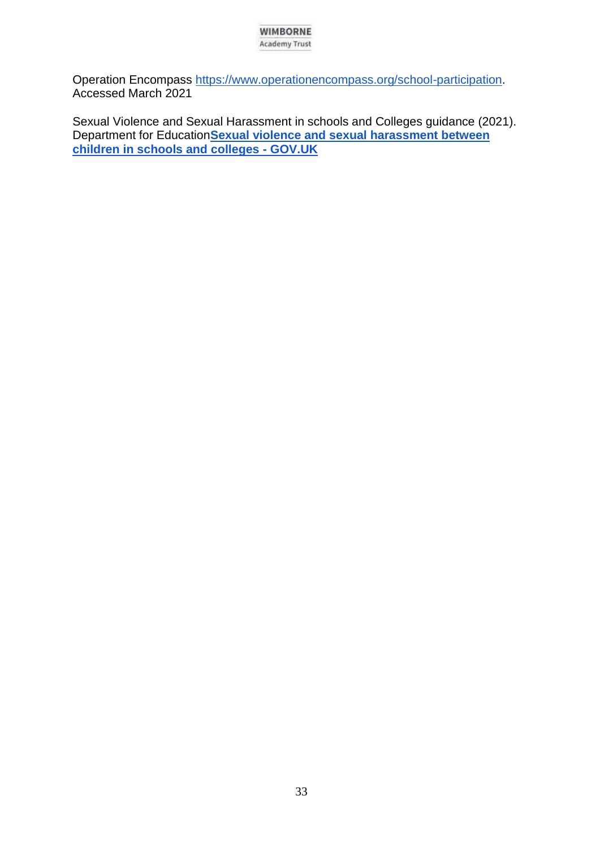

Operation Encompass [https://www.operationencompass.org/school-participation.](https://www.operationencompass.org/school-participation) Accessed March 2021

Sexual Violence and Sexual Harassment in schools and Colleges guidance (2021). Department for Education**[Sexual violence and sexual harassment between](https://www.gov.uk/government/publications/sexual-violence-and-sexual-harassment-between-children-in-schools-and-colleges)  [children in schools and colleges -](https://www.gov.uk/government/publications/sexual-violence-and-sexual-harassment-between-children-in-schools-and-colleges) GOV.UK**